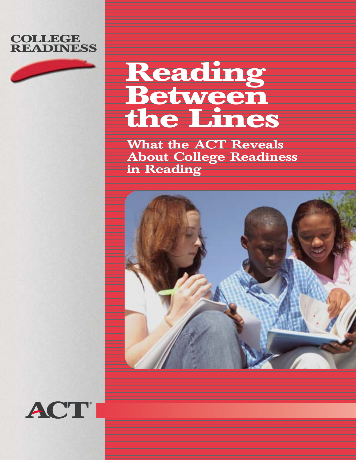



# **Reading Between the Lines**

**What the ACT Reveals About College Readiness in Reading**



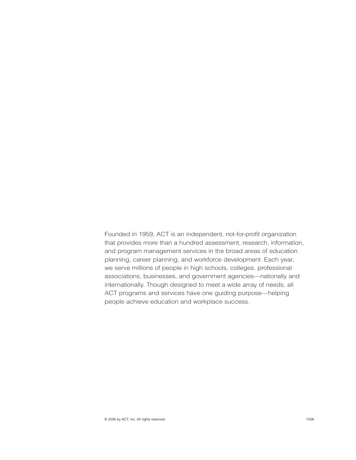Founded in 1959, ACT is an independent, not-for-profit organization that provides more than a hundred assessment, research, information, and program management services in the broad areas of education planning, career planning, and workforce development. Each year, we serve millions of people in high schools, colleges, professional associations, businesses, and government agencies—nationally and internationally. Though designed to meet a wide array of needs, all ACT programs and services have one guiding purpose—helping people achieve education and workplace success.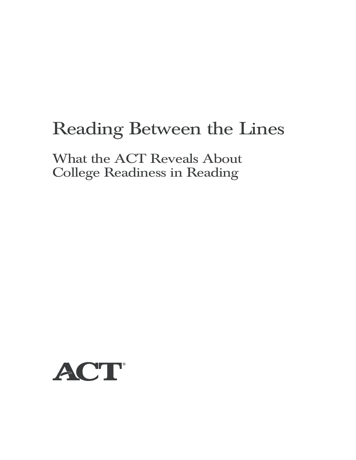# Reading Between the Lines

What the ACT Reveals About College Readiness in Reading

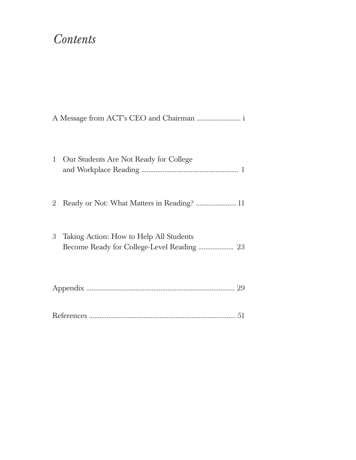## *Contents*

| 1              | Our Students Are Not Ready for College     |  |
|----------------|--------------------------------------------|--|
| $\overline{2}$ | Ready or Not: What Matters in Reading?  11 |  |
| 3              | Taking Action: How to Help All Students    |  |
|                |                                            |  |
|                |                                            |  |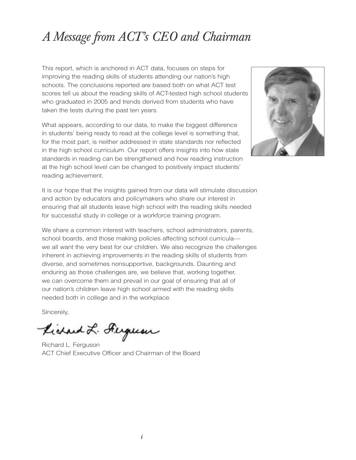## *A Message from ACT's CEO and Chairman*

This report, which is anchored in ACT data, focuses on steps for improving the reading skills of students attending our nation's high schools. The conclusions reported are based both on what ACT test scores tell us about the reading skills of ACT-tested high school students who graduated in 2005 and trends derived from students who have taken the tests during the past ten years.

What appears, according to our data, to make the biggest difference in students' being ready to read at the college level is something that, for the most part, is neither addressed in state standards nor reflected in the high school curriculum. Our report offers insights into how state standards in reading can be strengthened and how reading instruction at the high school level can be changed to positively impact students' reading achievement.



It is our hope that the insights gained from our data will stimulate discussion and action by educators and policymakers who share our interest in ensuring that all students leave high school with the reading skills needed for successful study in college or a workforce training program.

We share a common interest with teachers, school administrators, parents, school boards, and those making policies affecting school curricula we all want the very best for our children. We also recognize the challenges inherent in achieving improvements in the reading skills of students from diverse, and sometimes nonsupportive, backgrounds. Daunting and enduring as those challenges are, we believe that, working together, we can overcome them and prevail in our goal of ensuring that all of our nation's children leave high school armed with the reading skills needed both in college and in the workplace.

Sincerely,

Lichard L. Fergusu

Richard L. Ferguson ACT Chief Executive Officer and Chairman of the Board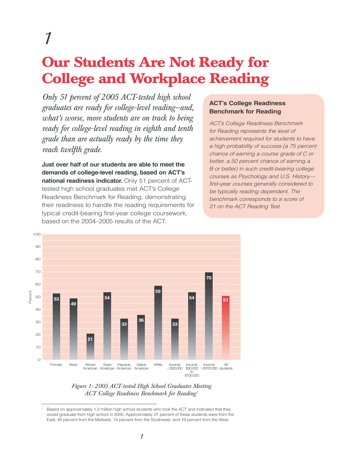*1*

# **Our Students Are Not Ready for College and Workplace Reading**

*Only 51 percent of 2005 ACT-tested high school graduates are ready for college-level reading—and, what's worse, more students are on track to being ready for college-level reading in eighth and tenth grade than are actually ready by the time they reach twelfth grade.*

**Just over half of our students are able to meet the demands of college-level reading, based on ACT's national readiness indicator.** Only 51 percent of ACTtested high school graduates met ACT's College Readiness Benchmark for Reading, demonstrating their readiness to handle the reading requirements for typical credit-bearing first-year college coursework, based on the 2004–2005 results of the ACT.

### **ACT's College Readiness Benchmark for Reading**

ACT's College Readiness Benchmark for Reading represents the level of achievement required for students to have a high probability of success (a 75 percent chance of earning a course grade of C or better, a 50 percent chance of earning a B or better) in such credit-bearing college courses as Psychology and U.S. History first-year courses generally considered to be typically reading dependent. The benchmark corresponds to a score of 21 on the ACT Reading Test.



*Figure 1: 2005 ACT-tested High School Graduates Meeting ACT College Readiness Benchmark for Reading <sup>1</sup>*

Based on approximately 1.2 million high school students who took the ACT and indicated that they would graduate from high school in 2005. Approximately 27 percent of these students were from the East, 40 percent from the Midwest, 14 percent from the Southwest, and 19 percent from the West.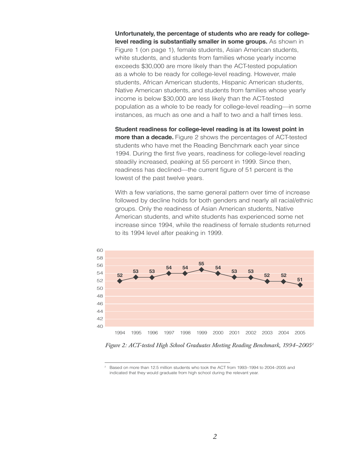**Unfortunately, the percentage of students who are ready for collegelevel reading is substantially smaller in some groups.** As shown in Figure 1 (on page 1), female students, Asian American students, white students, and students from families whose yearly income exceeds \$30,000 are more likely than the ACT-tested population as a whole to be ready for college-level reading. However, male students, African American students, Hispanic American students, Native American students, and students from families whose yearly income is below \$30,000 are less likely than the ACT-tested population as a whole to be ready for college-level reading—in some instances, as much as one and a half to two and a half times less.

**Student readiness for college-level reading is at its lowest point in more than a decade.** Figure 2 shows the percentages of ACT-tested students who have met the Reading Benchmark each year since 1994. During the first five years, readiness for college-level reading steadily increased, peaking at 55 percent in 1999. Since then, readiness has declined—the current figure of 51 percent is the lowest of the past twelve years.

With a few variations, the same general pattern over time of increase followed by decline holds for both genders and nearly all racial/ethnic groups. Only the readiness of Asian American students, Native American students, and white students has experienced some net increase since 1994, while the readiness of female students returned to its 1994 level after peaking in 1999.



*Figure 2: ACT-tested High School Graduates Meeting Reading Benchmark, 1994–20052*

<sup>2</sup> Based on more than 12.5 million students who took the ACT from 1993–1994 to 2004–2005 and indicated that they would graduate from high school during the relevant year.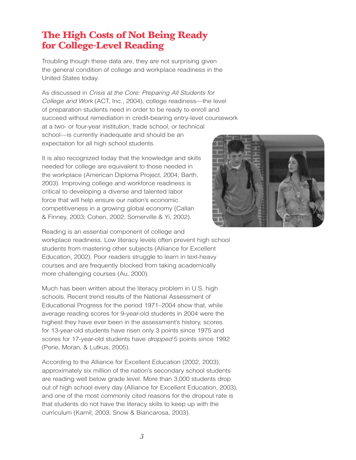## **The High Costs of Not Being Ready for College-Level Reading**

Troubling though these data are, they are not surprising given the general condition of college and workplace readiness in the United States today.

As discussed in Crisis at the Core: Preparing All Students for College and Work (ACT, Inc., 2004), college readiness—the level of preparation students need in order to be ready to enroll and succeed without remediation in credit-bearing entry-level coursework at a two- or four-year institution, trade school, or technical school—is currently inadequate and should be an expectation for all high school students.

It is also recognized today that the knowledge and skills needed for college are equivalent to those needed in the workplace (American Diploma Project, 2004; Barth, 2003). Improving college and workforce readiness is critical to developing a diverse and talented labor force that will help ensure our nation's economic competitiveness in a growing global economy (Callan & Finney, 2003; Cohen, 2002; Somerville & Yi, 2002).

Reading is an essential component of college and workplace readiness. Low literacy levels often prevent high school students from mastering other subjects (Alliance for Excellent Education, 2002). Poor readers struggle to learn in text-heavy courses and are frequently blocked from taking academically more challenging courses (Au, 2000).

Much has been written about the literacy problem in U.S. high schools. Recent trend results of the National Assessment of Educational Progress for the period 1971–2004 show that, while average reading scores for 9-year-old students in 2004 were the highest they have ever been in the assessment's history, scores for 13-year-old students have risen only 3 points since 1975 and scores for 17-year-old students have dropped 5 points since 1992 (Perie, Moran, & Lutkus, 2005).

According to the Alliance for Excellent Education (2002, 2003), approximately six million of the nation's secondary school students are reading well below grade level. More than 3,000 students drop out of high school every day (Alliance for Excellent Education, 2003), and one of the most commonly cited reasons for the dropout rate is that students do not have the literacy skills to keep up with the curriculum (Kamil, 2003; Snow & Biancarosa, 2003).

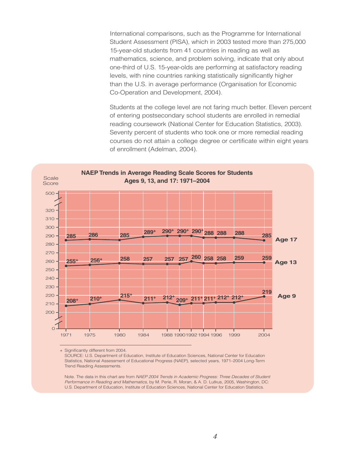International comparisons, such as the Programme for International Student Assessment (PISA), which in 2003 tested more than 275,000 15-year-old students from 41 countries in reading as well as mathematics, science, and problem solving, indicate that only about one-third of U.S. 15-year-olds are performing at satisfactory reading levels, with nine countries ranking statistically significantly higher than the U.S. in average performance (Organisation for Economic Co-Operation and Development, 2004).

Students at the college level are not faring much better. Eleven percent of entering postsecondary school students are enrolled in remedial reading coursework (National Center for Education Statistics, 2003). Seventy percent of students who took one or more remedial reading courses do not attain a college degree or certificate within eight years of enrollment (Adelman, 2004).



+ Significantly different from 2004.

SOURCE: U.S. Department of Education, Institute of Education Sciences, National Center for Education Statistics, National Assessment of Educational Progress (NAEP), selected years, 1971–2004 Long-Term Trend Reading Assessments.

Note. The data in this chart are from NAEP 2004 Trends in Academic Progress: Three Decades of Student Performance in Reading and Mathematics, by M. Perie, R. Moran, & A. D. Lutkus, 2005, Washington, DC: U.S. Department of Education, Institute of Education Sciences, National Center for Education Statistics.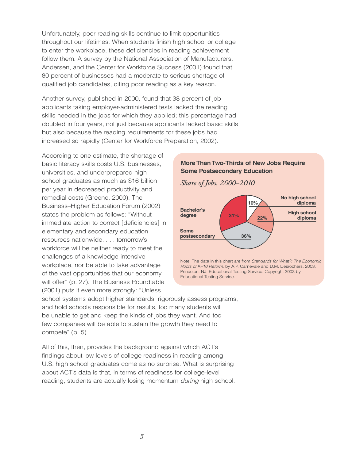Unfortunately, poor reading skills continue to limit opportunities throughout our lifetimes. When students finish high school or college to enter the workplace, these deficiencies in reading achievement follow them. A survey by the National Association of Manufacturers, Andersen, and the Center for Workforce Success (2001) found that 80 percent of businesses had a moderate to serious shortage of qualified job candidates, citing poor reading as a key reason.

Another survey, published in 2000, found that 38 percent of job applicants taking employer-administered tests lacked the reading skills needed in the jobs for which they applied; this percentage had doubled in four years, not just because applicants lacked basic skills but also because the reading requirements for these jobs had increased so rapidly (Center for Workforce Preparation, 2002).

According to one estimate, the shortage of basic literacy skills costs U.S. businesses, universities, and underprepared high school graduates as much as \$16 billion per year in decreased productivity and remedial costs (Greene, 2000). The Business–Higher Education Forum (2002) states the problem as follows: "Without immediate action to correct [deficiencies] in elementary and secondary education resources nationwide, . . . tomorrow's workforce will be neither ready to meet the challenges of a knowledge-intensive workplace, nor be able to take advantage of the vast opportunities that our economy will offer" (p. 27). The Business Roundtable (2001) puts it even more strongly: "Unless

### **More Than Two-Thirds of New Jobs Require Some Postsecondary Education**

*Share of Jobs, 2000–2010*



school systems adopt higher standards, rigorously assess programs, and hold schools responsible for results, too many students will be unable to get and keep the kinds of jobs they want. And too few companies will be able to sustain the growth they need to compete" (p. 5).

All of this, then, provides the background against which ACT's findings about low levels of college readiness in reading among U.S. high school graduates come as no surprise. What is surprising about ACT's data is that, in terms of readiness for college-level reading, students are actually losing momentum *during* high school.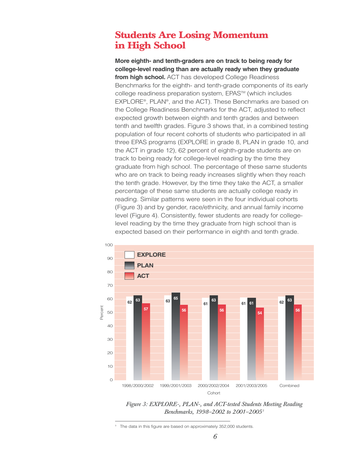## **Students Are Losing Momentum in High School**

**More eighth- and tenth-graders are on track to being ready for college-level reading than are actually ready when they graduate from high school.** ACT has developed College Readiness Benchmarks for the eighth- and tenth-grade components of its early college readiness preparation system, EPAS™ (which includes EXPLORE®, PLAN®, and the ACT). These Benchmarks are based on the College Readiness Benchmarks for the ACT, adjusted to reflect expected growth between eighth and tenth grades and between tenth and twelfth grades. Figure 3 shows that, in a combined testing population of four recent cohorts of students who participated in all three EPAS programs (EXPLORE in grade 8, PLAN in grade 10, and the ACT in grade 12), 62 percent of eighth-grade students are on track to being ready for college-level reading by the time they graduate from high school. The percentage of these same students who are on track to being ready increases slightly when they reach the tenth grade. However, by the time they take the ACT, a smaller percentage of these same students are actually college ready in reading. Similar patterns were seen in the four individual cohorts (Figure 3) and by gender, race/ethnicity, and annual family income level (Figure 4). Consistently, fewer students are ready for collegelevel reading by the time they graduate from high school than is expected based on their performance in eighth and tenth grade.



*Figure 3: EXPLORE-, PLAN-, and ACT-tested Students Meeting Reading Benchmarks, 1998–2002 to 2001–20053*

The data in this figure are based on approximately 352,000 students.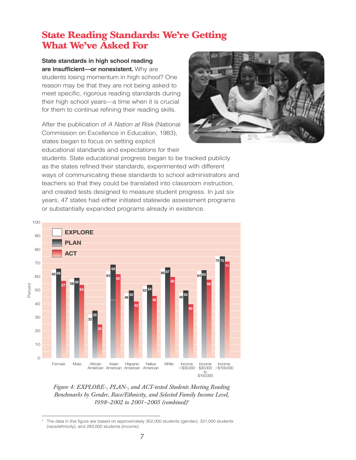## **State Reading Standards: We're Getting What We've Asked For**

**State standards in high school reading are insufficient—or nonexistent.** Why are students losing momentum in high school? One reason may be that they are not being asked to meet specific, rigorous reading standards during their high school years—a time when it is crucial for them to continue refining their reading skills.

After the publication of A Nation at Risk (National Commission on Excellence in Education, 1983), states began to focus on setting explicit educational standards and expectations for their



students. State educational progress began to be tracked publicly as the states refined their standards, experimented with different ways of communicating these standards to school administrators and teachers so that they could be translated into classroom instruction, and created tests designed to measure student progress. In just six years, 47 states had either initiated statewide assessment programs or substantially expanded programs already in existence.



*Figure 4: EXPLORE-, PLAN-, and ACT-tested Students Meeting Reading Benchmarks by Gender, Race/Ethnicity, and Selected Family Income Level, 1998–2002 to 2001–2005 (combined)4*

The data in this figure are based on approximately 352,000 students (gender), 331,000 students (race/ethnicity), and 283,000 students (income).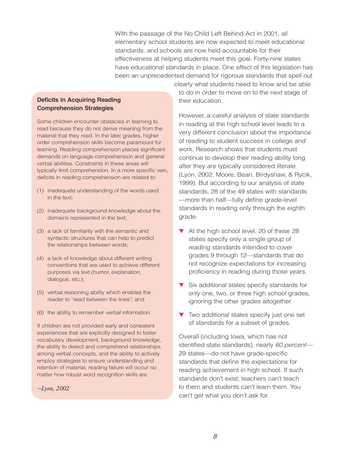With the passage of the No Child Left Behind Act in 2001, all elementary school students are now expected to meet educational standards, and schools are now held accountable for their effectiveness at helping students meet this goal. Forty-nine states have educational standards in place. One effect of this legislation has been an unprecedented demand for rigorous standards that spell out clearly what students need to know and be able

### **Deficits in Acquiring Reading Comprehension Strategies**

Some children encounter obstacles in learning to read because they do not derive meaning from the material that they read. In the later grades, higher order comprehension skills become paramount for learning. Reading comprehension places significant demands on language comprehension and general verbal abilities. Constraints in these areas will typically limit comprehension. In a more specific vein, deficits in reading comprehension are related to:

- (1) inadequate understanding of the words used in the text;
- (2) inadequate background knowledge about the domains represented in the text;
- (3) a lack of familiarity with the semantic and syntactic structures that can help to predict the relationships between words;
- (4) a lack of knowledge about different writing conventions that are used to achieve different purposes via text (humor, explanation, dialogue, etc.);
- (5) verbal reasoning ability which enables the reader to "read between the lines"; and
- (6) the ability to remember verbal information.

If children are not provided early and consistent experiences that are explicitly designed to foster vocabulary development, background knowledge, the ability to detect and comprehend relationships among verbal concepts, and the ability to actively employ strategies to ensure understanding and retention of material, reading failure will occur no matter how robust word recognition skills are.

*—Lyon, 2002*

to do in order to move on to the next stage of their education.

However, a careful analysis of state standards in reading at the high school level leads to a very different conclusion about the importance of reading to student success in college and work. Research shows that students must continue to develop their reading ability long after they are typically considered literate (Lyon, 2002; Moore, Bean, Birdyshaw, & Rycik, 1999). But according to our analysis of state standards, 28 of the 49 states with standards —more than half—fully define grade-level standards in reading only through the eighth grade.

- ▼ At the high school level, 20 of these 28 states specify only a single group of reading standards intended to cover grades 9 through 12—standards that do not recognize expectations for increasing proficiency in reading during those years.
- ▼ Six additional states specify standards for only one, two, or three high school grades, ignoring the other grades altogether.
- ▼ Two additional states specify just one set of standards for a subset of grades.

Overall (including Iowa, which has not identified state standards), nearly 60 percent— 29 states—do not have grade-specific standards that define the expectations for reading achievement in high school. If such standards don't exist, teachers can't teach to them and students can't learn them. You can't get what you don't ask for.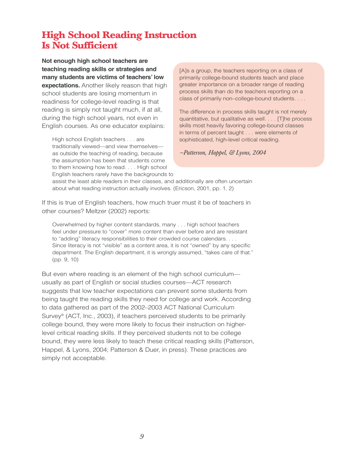## **High School Reading Instruction Is Not Sufficient**

**Not enough high school teachers are teaching reading skills or strategies and many students are victims of teachers' low expectations.** Another likely reason that high school students are losing momentum in readiness for college-level reading is that reading is simply not taught much, if at all, during the high school years, not even in English courses. As one educator explains:

High school English teachers . . . are traditionally viewed—and view themselves as outside the teaching of reading, because the assumption has been that students come to them knowing how to read. . . . High school English teachers rarely have the backgrounds to [A]s a group, the teachers reporting on a class of primarily college-bound students teach and place greater importance on a broader range of reading process skills than do the teachers reporting on a class of primarily non–college-bound students. . . .

The difference in process skills taught is not merely quantitative, but qualitative as well. . . . [T]he process skills most heavily favoring college-bound classes in terms of percent taught . . . were elements of sophisticated, high-level critical reading.

### *—Patterson, Happel, & Lyons, 2004*

assist the least able readers in their classes, and additionally are often uncertain about what reading instruction actually involves. (Ericson, 2001, pp. 1, 2)

If this is true of English teachers, how much truer must it be of teachers in other courses? Meltzer (2002) reports:

Overwhelmed by higher content standards, many . . . high school teachers feel under pressure to "cover" more content than ever before and are resistant to "adding" literacy responsibilities to their crowded course calendars. . . . Since literacy is not "visible" as a content area, it is not "owned" by any specific department. The English department, it is wrongly assumed, "takes care of that." (pp. 9, 10)

But even where reading is an element of the high school curriculum usually as part of English or social studies courses—ACT research suggests that low teacher expectations can prevent some students from being taught the reading skills they need for college and work. According to data gathered as part of the 2002–2003 ACT National Curriculum Survey® (ACT, Inc., 2003), if teachers perceived students to be primarily college bound, they were more likely to focus their instruction on higherlevel critical reading skills. If they perceived students not to be college bound, they were less likely to teach these critical reading skills (Patterson, Happel, & Lyons, 2004; Patterson & Duer, in press). These practices are simply not acceptable.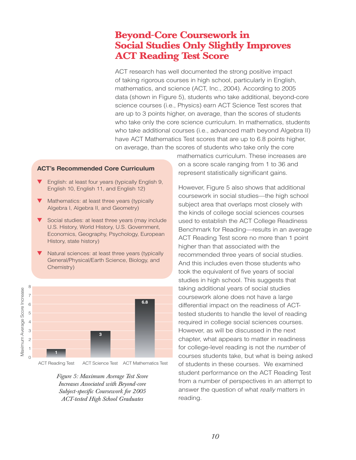## **Beyond-Core Coursework in Social Studies Only Slightly Improves ACT Reading Test Score**

ACT research has well documented the strong positive impact of taking rigorous courses in high school, particularly in English, mathematics, and science (ACT, Inc., 2004). According to 2005 data (shown in Figure 5), students who take additional, beyond-core science courses (i.e., Physics) earn ACT Science Test scores that are up to 3 points higher, on average, than the scores of students who take only the core science curriculum. In mathematics, students who take additional courses (i.e., advanced math beyond Algebra II) have ACT Mathematics Test scores that are up to 6.8 points higher, on average, than the scores of students who take only the core

### **ACT's Recommended Core Curriculum**

- ▼ English: at least four years (typically English 9, English 10, English 11, and English 12)
- ▼ Mathematics: at least three years (typically Algebra I, Algebra II, and Geometry)
- ▼ Social studies: at least three years (may include U.S. History, World History, U.S. Government, Economics, Geography, Psychology, European History, state history)
- Natural sciences: at least three years (typically General/Physical/Earth Science, Biology, and Chemistry)



*Figure 5: Maximum Average Test Score Increases Associated with Beyond-core Subject-specific Coursework for 2005 ACT-tested High School Graduates*

mathematics curriculum. These increases are on a score scale ranging from 1 to 36 and represent statistically significant gains.

However, Figure 5 also shows that additional coursework in social studies—the high school subject area that overlaps most closely with the kinds of college social sciences courses used to establish the ACT College Readiness Benchmark for Reading—results in an average ACT Reading Test score no more than 1 point higher than that associated with the recommended three years of social studies. And this includes even those students who took the equivalent of five years of social studies in high school. This suggests that taking additional years of social studies coursework alone does not have a large differential impact on the readiness of ACTtested students to handle the level of reading required in college social sciences courses. However, as will be discussed in the next chapter, what appears to matter in readiness for college-level reading is not the number of courses students take, but what is being asked of students in these courses. We examined student performance on the ACT Reading Test from a number of perspectives in an attempt to answer the question of what really matters in reading.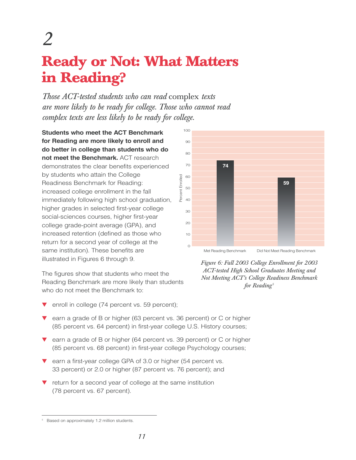*2*

# **Ready or Not: What Matters in Reading?**

*Those ACT-tested students who can read* complex *texts are more likely to be ready for college. Those who cannot read complex texts are less likely to be ready for college.*

**Students who meet the ACT Benchmark for Reading are more likely to enroll and do better in college than students who do not meet the Benchmark.** ACT research demonstrates the clear benefits experienced by students who attain the College Readiness Benchmark for Reading: increased college enrollment in the fall immediately following high school graduation, higher grades in selected first-year college social-sciences courses, higher first-year college grade-point average (GPA), and increased retention (defined as those who return for a second year of college at the same institution). These benefits are illustrated in Figures 6 through 9.

The figures show that students who meet the Reading Benchmark are more likely than students who do not meet the Benchmark to:



*Figure 6: Fall 2003 College Enrollment for 2003 ACT-tested High School Graduates Meeting and Not Meeting ACT's College Readiness Benchmark for Reading*<sup>5</sup>

- enroll in college (74 percent vs. 59 percent);
- ▼ earn a grade of B or higher (63 percent vs. 36 percent) or C or higher (85 percent vs. 64 percent) in first-year college U.S. History courses;
- ▼ earn a grade of B or higher (64 percent vs. 39 percent) or C or higher (85 percent vs. 68 percent) in first-year college Psychology courses;
- ▼ earn a first-year college GPA of 3.0 or higher (54 percent vs. 33 percent) or 2.0 or higher (87 percent vs. 76 percent); and
- ▼ return for a second year of college at the same institution (78 percent vs. 67 percent).

<sup>&</sup>lt;sup>5</sup> Based on approximately 1.2 million students.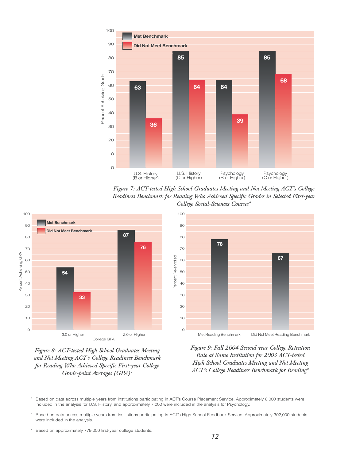

*Figure 7: ACT-tested High School Graduates Meeting and Not Meeting ACT's College Readiness Benchmark for Reading Who Achieved Specific Grades in Selected First-year College Social-Sciences Courses <sup>6</sup>*







*Figure 9: Fall 2004 Second-year College Retention Rate at Same Institution for 2003 ACT-tested High School Graduates Meeting and Not Meeting ACT's College Readiness Benchmark for Reading <sup>8</sup>*

<sup>6</sup> Based on data across multiple years from institutions participating in ACT's Course Placement Service. Approximately 6,000 students were included in the analysis for U.S. History, and approximately 7,000 were included in the analysis for Psychology.

<sup>7</sup> Based on data across multiple years from institutions participating in ACT's High School Feedback Service. Approximately 302,000 students were included in the analysis.

<sup>&</sup>lt;sup>8</sup> Based on approximately 779,000 first-year college students.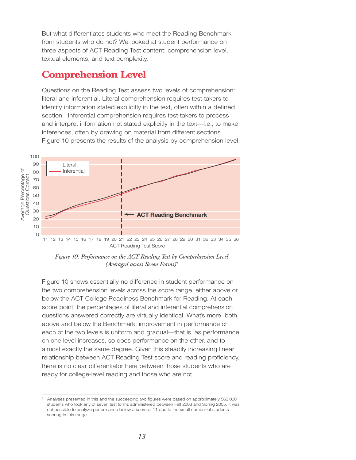But what differentiates students who meet the Reading Benchmark from students who do not? We looked at student performance on three aspects of ACT Reading Test content: comprehension level, textual elements, and text complexity.

## **Comprehension Level**

Questions on the Reading Test assess two levels of comprehension: literal and inferential. Literal comprehension requires test-takers to identify information stated explicitly in the text, often within a defined section. Inferential comprehension requires test-takers to process and interpret information not stated explicitly in the text—i.e., to make inferences, often by drawing on material from different sections. Figure 10 presents the results of the analysis by comprehension level.





Figure 10 shows essentially no difference in student performance on the two comprehension levels across the score range, either above or below the ACT College Readiness Benchmark for Reading. At each score point, the percentages of literal and inferential comprehension questions answered correctly are virtually identical. What's more, both above and below the Benchmark, improvement in performance on each of the two levels is uniform and gradual—that is, as performance on one level increases, so does performance on the other, and to almost exactly the same degree. Given this steadily increasing linear relationship between ACT Reading Test score and reading proficiency, there is no clear differentiator here between those students who are ready for college-level reading and those who are not.

<sup>9</sup> Analyses presented in this and the succeeding two figures were based on approximately 563,000 students who took any of seven test forms administered between Fall 2003 and Spring 2005. It was not possible to analyze performance below a score of 11 due to the small number of students scoring in this range.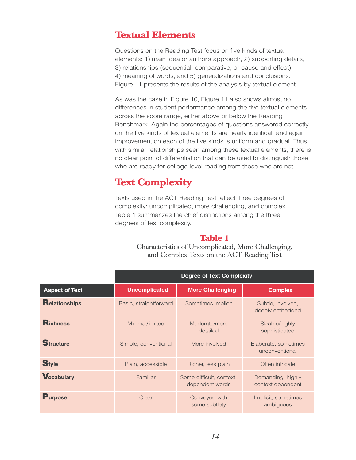## **Textual Elements**

Questions on the Reading Test focus on five kinds of textual elements: 1) main idea or author's approach, 2) supporting details, 3) relationships (sequential, comparative, or cause and effect), 4) meaning of words, and 5) generalizations and conclusions. Figure 11 presents the results of the analysis by textual element.

As was the case in Figure 10, Figure 11 also shows almost no differences in student performance among the five textual elements across the score range, either above or below the Reading Benchmark. Again the percentages of questions answered correctly on the five kinds of textual elements are nearly identical, and again improvement on each of the five kinds is uniform and gradual. Thus, with similar relationships seen among these textual elements, there is no clear point of differentiation that can be used to distinguish those who are ready for college-level reading from those who are not.

## **Text Complexity**

Texts used in the ACT Reading Test reflect three degrees of complexity: uncomplicated, more challenging, and complex. Table 1 summarizes the chief distinctions among the three degrees of text complexity.

### **Table 1**

Characteristics of Uncomplicated, More Challenging, and Complex Texts on the ACT Reading Test

|                       | <b>Degree of Text Complexity</b> |                                             |                                        |
|-----------------------|----------------------------------|---------------------------------------------|----------------------------------------|
| <b>Aspect of Text</b> | <b>Uncomplicated</b>             | <b>More Challenging</b>                     | <b>Complex</b>                         |
| <b>Relationships</b>  | Basic, straightforward           | Sometimes implicit                          | Subtle, involved,<br>deeply embedded   |
| <b>R</b> ichness      | Minimal/limited                  | Moderate/more<br>detailed                   | Sizable/highly<br>sophisticated        |
| <b>Structure</b>      | Simple, conventional             | More involved                               | Elaborate, sometimes<br>unconventional |
| <b>Style</b>          | Plain, accessible                | Richer, less plain                          | Often intricate                        |
| <b>V</b> ocabulary    | Familiar                         | Some difficult, context-<br>dependent words | Demanding, highly<br>context dependent |
| <b>Purpose</b>        | Clear                            | Conveyed with<br>some subtlety              | Implicit, sometimes<br>ambiguous       |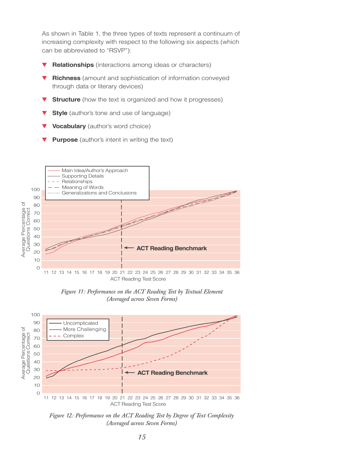As shown in Table 1, the three types of texts represent a continuum of increasing complexity with respect to the following six aspects (which can be abbreviated to "RSVP"):

- **Relationships** (interactions among ideas or characters)
- **Richness** (amount and sophistication of information conveyed through data or literary devices)
- **Structure** (how the text is organized and how it progresses)
- **Style** (author's tone and use of language)
- **Vocabulary** (author's word choice)
- **Purpose** (author's intent in writing the text)



*Figure 11: Performance on the ACT Reading Test by Textual Element (Averaged across Seven Forms)*



*Figure 12: Performance on the ACT Reading Test by Degree of Text Complexity (Averaged across Seven Forms)*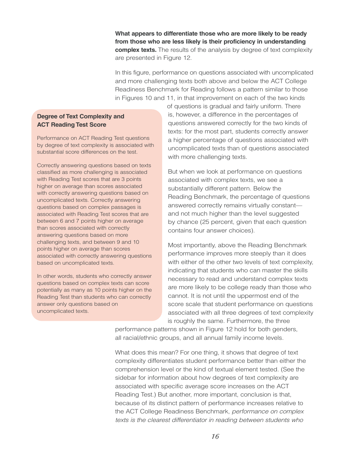**What appears to differentiate those who are more likely to be ready from those who are less likely is their proficiency in understanding complex texts.** The results of the analysis by degree of text complexity are presented in Figure 12.

In this figure, performance on questions associated with uncomplicated and more challenging texts both above and below the ACT College Readiness Benchmark for Reading follows a pattern similar to those in Figures 10 and 11, in that improvement on each of the two kinds

### **Degree of Text Complexity and ACT Reading Test Score**

Performance on ACT Reading Test questions by degree of text complexity is associated with substantial score differences on the test.

Correctly answering questions based on texts classified as more challenging is associated with Reading Test scores that are 3 points higher on average than scores associated with correctly answering questions based on uncomplicated texts. Correctly answering questions based on complex passages is associated with Reading Test scores that are between 6 and 7 points higher on average than scores associated with correctly answering questions based on more challenging texts, and between 9 and 10 points higher on average than scores associated with correctly answering questions based on uncomplicated texts.

In other words, students who correctly answer questions based on complex texts can score potentially as many as 10 points higher on the Reading Test than students who can correctly answer only questions based on uncomplicated texts.

of questions is gradual and fairly uniform. There is, however, a difference in the percentages of questions answered correctly for the two kinds of texts: for the most part, students correctly answer a higher percentage of questions associated with uncomplicated texts than of questions associated with more challenging texts.

But when we look at performance on questions associated with complex texts, we see a substantially different pattern. Below the Reading Benchmark, the percentage of questions answered correctly remains virtually constant and not much higher than the level suggested by chance (25 percent, given that each question contains four answer choices).

Most importantly, above the Reading Benchmark performance improves more steeply than it does with either of the other two levels of text complexity, indicating that students who can master the skills necessary to read and understand complex texts are more likely to be college ready than those who cannot. It is not until the uppermost end of the score scale that student performance on questions associated with all three degrees of text complexity is roughly the same. Furthermore, the three

performance patterns shown in Figure 12 hold for both genders, all racial/ethnic groups, and all annual family income levels.

What does this mean? For one thing, it shows that degree of text complexity differentiates student performance better than either the comprehension level or the kind of textual element tested. (See the sidebar for information about how degrees of text complexity are associated with specific average score increases on the ACT Reading Test.) But another, more important, conclusion is that, because of its distinct pattern of performance increases relative to the ACT College Readiness Benchmark, performance on complex texts is the clearest differentiator in reading between students who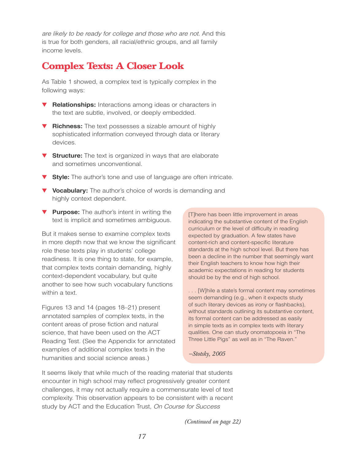are likely to be ready for college and those who are not. And this is true for both genders, all racial/ethnic groups, and all family income levels.

## **Complex Texts: A Closer Look**

As Table 1 showed, a complex text is typically complex in the following ways:

- ▼ **Relationships:** Interactions among ideas or characters in the text are subtle, involved, or deeply embedded.
- ▼ **Richness:** The text possesses a sizable amount of highly sophisticated information conveyed through data or literary devices.
- ▼ **Structure:** The text is organized in ways that are elaborate and sometimes unconventional.
- ▼ **Style:** The author's tone and use of language are often intricate.
- ▼ Vocabulary: The author's choice of words is demanding and highly context dependent.
- ▼ **Purpose:** The author's intent in writing the text is implicit and sometimes ambiguous.

But it makes sense to examine complex texts in more depth now that we know the significant role these texts play in students' college readiness. It is one thing to state, for example, that complex texts contain demanding, highly context-dependent vocabulary, but quite another to see how such vocabulary functions within a text.

Figures 13 and 14 (pages 18–21) present annotated samples of complex texts, in the content areas of prose fiction and natural science, that have been used on the ACT Reading Test. (See the Appendix for annotated examples of additional complex texts in the humanities and social science areas.)

[T]here has been little improvement in areas indicating the substantive content of the English curriculum or the level of difficulty in reading expected by graduation. A few states have content-rich and content-specific literature standards at the high school level. But there has been a decline in the number that seemingly want their English teachers to know how high their academic expectations in reading for students should be by the end of high school.

. . . [W]hile a state's formal content may sometimes seem demanding (e.g., when it expects study of such literary devices as irony or flashbacks), without standards outlining its substantive content, its formal content can be addressed as easily in simple texts as in complex texts with literary qualities. One can study onomatopoeia in "The Three Little Pigs" as well as in "The Raven."

*—Stotsky, 2005*

It seems likely that while much of the reading material that students encounter in high school may reflect progressively greater content challenges, it may not actually require a commensurate level of text complexity. This observation appears to be consistent with a recent study by ACT and the Education Trust, On Course for Success

*(Continued on page 22)*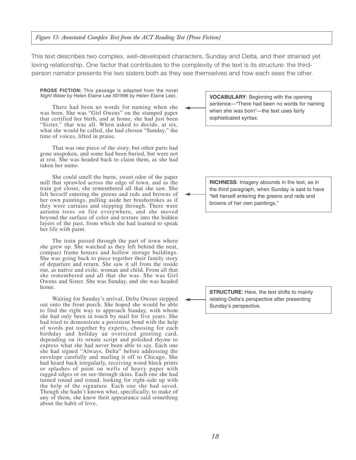### *Figure 13: Annotated Complex Text from the ACT Reading Test (Prose Fiction)*

This text describes two complex, well-developed characters, Sunday and Delta, and their strained yet loving relationship. One factor that contributes to the complexity of the text is its structure: the thirdperson narrator presents the two sisters both as they see themselves and how each sees the other.

**PROSE FICTION:** This passage is adapted from the novel Night Water by Helen Elaine Lee (©1996 by Helen Elaine Lee).

There had been no words for naming when she was born. She was "Girl Owens" on the stamped paper that certified her birth, and at home, she had just been "Sister," that was all. When asked to decide, at six, what she would be called, she had chosen "Sunday," the time of voices, lifted in praise.

That was one piece of the story, but other parts had gone unspoken, and some had been buried, but were not at rest. She was headed back to claim them, as she had taken her name.

She could smell the burnt, sweet odor of the paper mill that sprawled across the edge of town, and as the train got closer, she remembered all that she saw. She felt herself entering the greens and reds and browns of her own paintings, pulling aside her brushstrokes as if they were curtains and stepping through. There were autumn trees on fire everywhere, and she moved beyond the surface of color and texture into the hidden layers of the past, from which she had learned to speak her life with paint.

The train passed through the part of town where she grew up. She watched as they left behind the neat, compact frame houses and hollow storage buildings. She was going back to piece together their family story of departure and return. She saw it all from the inside out, as native and exile, woman and child. From all that she remembered and all that she was. She was Girl Owens and Sister. She was Sunday, and she was headed home.

Waiting for Sunday's arrival, Delta Owens stepped out onto the front porch. She hoped she would be able to find the right way to approach Sunday, with whom she had only been in touch by mail for five years. She had tried to demonstrate a persistent bond with the help of words put together by experts, choosing for each birthday and holiday an oversized greeting card, depending on its ornate script and polished rhyme to express what she had never been able to say. Each one she had signed "Always, Delta" before addressing the envelope carefully and mailing it off to Chicago. She had heard back irregularly, receiving wood block prints or splashes of paint on wefts of heavy paper with ragged edges or on see-through skins. Each one she had turned round and round, looking for right-side up with the help of the signature. Each one she had saved. Though she hadn't known what, specifically, to make of any of them, she knew their appearance said something about the habit of love.

**VOCABULARY**: Beginning with the opening sentence—"There had been no words for naming when she was born"—the text uses fairly sophisticated syntax.

**RICHNESS**: Imagery abounds in the text, as in the third paragraph, when Sunday is said to have "felt herself entering the greens and reds and browns of her own paintings."

**STRUCTURE**: Here, the text shifts to mainly relating Delta's perspective after presenting Sunday's perspective.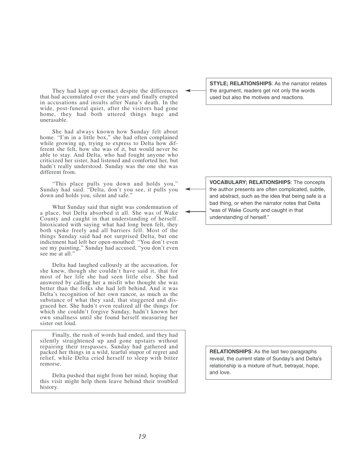They had kept up contact despite the differences that had accumulated over the years and finally erupted in accusations and insults after Nana's death. In the wide, post-funeral quiet, after the visitors had gone home, they had both uttered things huge and unerasable.

She had always known how Sunday felt about home. "I'm in a little box," she had often complained while growing up, trying to express to Delta how different she felt, how she was of it, but would never be able to stay. And Delta, who had fought anyone who criticized her sister, had listened and comforted her, but hadn't really understood. Sunday was the one she was different from.

"This place pulls you down and holds you," Sunday had said. "Delta, don't you see, it pulls you down and holds you, silent and safe."

What Sunday said that night was condemnation of a place, but Delta absorbed it all. She was of Wake County and caught in that understanding of herself. Intoxicated with saying what had long been felt, they both spoke freely and all barriers fell. Most of the things Sunday said had not surprised Delta, but one indictment had left her open-mouthed: "You don't even see my painting," Sunday had accused, "you don't even see me at all."

Delta had laughed callously at the accusation, for she knew, though she couldn't have said it, that for most of her life she had seen little else. She had answered by calling her a misfit who thought she was better than the folks she had left behind. And it was Delta's recognition of her own rancor, as much as the substance of what they said, that staggered and disgraced her. She hadn't even realized all the things for which she couldn't forgive Sunday, hadn't known her own smallness until she found herself measuring her sister out loud.

Finally, the rush of words had ended, and they had silently straightened up and gone upstairs without repairing their trespasses. Sunday had gathered and packed her things in a wild, tearful stupor of regret and relief, while Delta cried herself to sleep with bitter remorse.

Delta pushed that night from her mind, hoping that this visit might help them leave behind their troubled history.

**STYLE; RELATIONSHIPS**: As the narrator relates the argument, readers get not only the words used but also the motives and reactions.

**VOCABULARY; RELATIONSHIPS**: The concepts the author presents are often complicated, subtle, and abstract, such as the idea that being safe is a bad thing, or when the narrator notes that Delta "was of Wake County and caught in that understanding of herself."

**RELATIONSHIPS**: As the last two paragraphs reveal, the current state of Sunday's and Delta's relationship is a mixture of hurt, betrayal, hope, and love.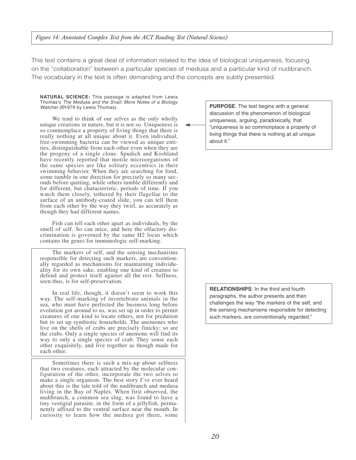This text contains a great deal of information related to the idea of biological uniqueness, focusing on the "collaboration" between a particular species of medusa and a particular kind of nudibranch. The vocabulary in the text is often demanding and the concepts are subtly presented.

**NATURAL SCIENCE:** This passage is adapted from Lewis Thomas's The Medusa and the Snail: More Notes of a Biology Watcher (©1979 by Lewis Thomas).

We tend to think of our selves as the only wholly unique creations in nature, but it is not so. Uniqueness is so commonplace a property of living things that there is really nothing at all unique about it. Even individual, free-swimming bacteria can be viewed as unique entities, distinguishable from each other even when they are the progeny of a single clone. Spudich and Koshland have recently reported that motile microorganisms of the same species are like solitary eccentrics in their swimming behavior. When they are searching for food, some tumble in one direction for precisely so many seconds before quitting, while others tumble differently and for different, but characteristic, periods of time. If you watch them closely, tethered by their flagellae to the surface of an antibody-coated slide, you can tell them from each other by the way they twirl, as accurately as though they had different names.

Fish can tell each other apart as individuals, by the smell of self. So can mice, and here the olfactory discrimination is governed by the same H2 locus which contains the genes for immunologic self-marking.

The markers of self, and the sensing mechanisms responsible for detecting such markers, are conventionally regarded as mechanisms for maintaining individuality for its own sake, enabling one kind of creature to defend and protect itself against all the rest. Selfness, seen thus, is for self-preservation.

In real life, though, it doesn't seem to work this way. The self-marking of invertebrate animals in the sea, who must have perfected the business long before evolution got around to us, was set up in order to permit creatures of one kind to locate others, not for predation but to set up symbiotic households. The anemones who live on the shells of crabs are precisely finicky; so are the crabs. Only a single species of anemone will find its way to only a single species of crab. They sense each other exquisitely, and live together as though made for each other.

Sometimes there is such a mix-up about selfness that two creatures, each attracted by the molecular configuration of the other, incorporate the two selves to make a single organism. The best story I've ever heard about this is the tale told of the nudibranch and medusa living in the Bay of Naples. When first observed, the nudibranch, a common sea slug, was found to have a tiny vestigial parasite, in the form of a jellyfish, permanently affixed to the ventral surface near the mouth. In curiosity to learn how the medusa got there, some

**PURPOSE**: The text begins with a general discussion of the phenomenon of biological uniqueness, arguing, paradoxically, that "uniqueness is so commonplace a property of living things that there is nothing at all unique about it."

**RELATIONSHIPS**: In the third and fourth paragraphs, the author presents and then challenges the way "the markers of the self, and the sensing mechanisms responsible for detecting such markers, are conventionally regarded."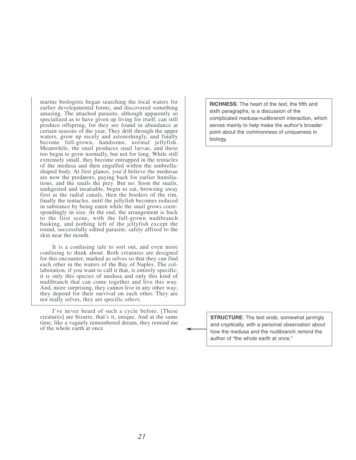marine biologists began searching the local waters for earlier developmental forms, and discovered something amazing. The attached parasite, although apparently so specialized as to have given up living for itself, can still produce offspring, for they are found in abundance at certain seasons of the year. They drift through the upper waters, grow up nicely and astonishingly, and finally become full-grown, handsome, normal jellyfish. Meanwhile, the snail produces snail larvae, and these too begin to grow normally, but not for long. While still extremely small, they become entrapped in the tentacles of the medusa and then engulfed within the umbrellashaped body. At first glance, you'd believe the medusae are now the predators, paying back for earlier humiliations, and the snails the prey. But no. Soon the snails, undigested and insatiable, begin to eat, browsing away first at the radial canals, then the borders of the rim, finally the tentacles, until the jellyfish becomes reduced in substance by being eaten while the snail grows correspondingly in size. At the end, the arrangement is back to the first scene, with the full-grown nudibranch basking, and nothing left of the jellyfish except the round, successfully edited parasite, safely affixed to the skin near the mouth.

It is a confusing tale to sort out, and even more confusing to think about. Both creatures are designed for this encounter, marked as selves so that they can find each other in the waters of the Bay of Naples. The collaboration, if you want to call it that, is entirely specific; it is only this species of medusa and only this kind of nudibranch that can come together and live this way. And, more surprising, they cannot live in any other way; they depend for their survival on each other. They are not really selves, they are specific *others.*

I've never heard of such a cycle before. [These creatures] are bizarre, that's it, unique. And at the same time, like a vaguely remembered dream, they remind me of the whole earth at once.

**RICHNESS**: The heart of the text, the fifth and sixth paragraphs, is a discussion of the complicated medusa-nudibranch interaction, which serves mainly to help make the author's broader point about the commonness of uniqueness in biology.

**STRUCTURE**: The text ends, somewhat jarringly and cryptically, with a personal observation about how the medusa and the nudibranch remind the author of "the whole earth at once."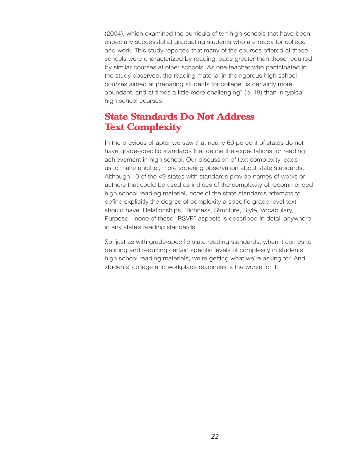(2004), which examined the curricula of ten high schools that have been especially successful at graduating students who are ready for college and work. This study reported that many of the courses offered at these schools were characterized by reading loads greater than those required by similar courses at other schools. As one teacher who participated in the study observed, the reading material in the rigorous high school courses aimed at preparing students for college "is certainly more abundant, and at times a little more challenging" (p. 18) than in typical high school courses.

## **State Standards Do Not Address Text Complexity**

In the previous chapter we saw that nearly 60 percent of states do not have grade-specific standards that define the expectations for reading achievement in high school. Our discussion of text complexity leads us to make another, more sobering observation about state standards. Although 10 of the 49 states with standards provide names of works or authors that could be used as indices of the complexity of recommended high school reading material, none of the state standards attempts to define explicitly the degree of complexity a specific grade-level text should have. Relationships, Richness, Structure, Style, Vocabulary, Purpose—none of these "RSVP" aspects is described in detail anywhere in any state's reading standards.

So, just as with grade-specific state reading standards, when it comes to defining and requiring certain specific levels of complexity in students' high school reading materials, we're getting what we're asking for. And students' college and workplace readiness is the worse for it.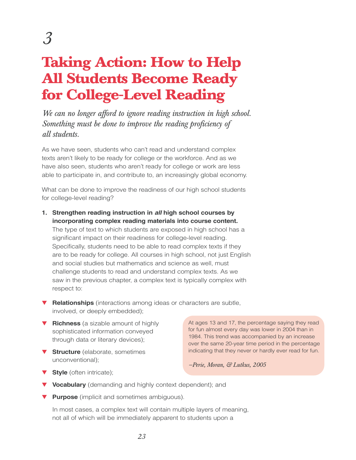# **Taking Action: How to Help All Students Become Ready for College-Level Reading**

*We can no longer afford to ignore reading instruction in high school. Something must be done to improve the reading proficiency of all students.*

As we have seen, students who can't read and understand complex texts aren't likely to be ready for college or the workforce. And as we have also seen, students who aren't ready for college or work are less able to participate in, and contribute to, an increasingly global economy.

What can be done to improve the readiness of our high school students for college-level reading?

**1. Strengthen reading instruction in all high school courses by incorporating complex reading materials into course content.** The type of text to which students are exposed in high school has a

significant impact on their readiness for college-level reading. Specifically, students need to be able to read complex texts if they are to be ready for college. All courses in high school, not just English and social studies but mathematics and science as well, must challenge students to read and understand complex texts. As we saw in the previous chapter, a complex text is typically complex with respect to:

- ▼ **Relationships** (interactions among ideas or characters are subtle, involved, or deeply embedded);
- ▼ **Richness** (a sizable amount of highly sophisticated information conveyed through data or literary devices);
- ▼ **Structure** (elaborate, sometimes unconventional);

At ages 13 and 17, the percentage saying they read for fun almost every day was lower in 2004 than in 1984. This trend was accompanied by an increase over the same 20-year time period in the percentage indicating that they never or hardly ever read for fun.

*—Perie, Moran, & Lutkus, 2005*

- ▼ **Style** (often intricate);
- ▼ Vocabulary (demanding and highly context dependent); and
- ▼ **Purpose** (implicit and sometimes ambiguous).

In most cases, a complex text will contain multiple layers of meaning, not all of which will be immediately apparent to students upon a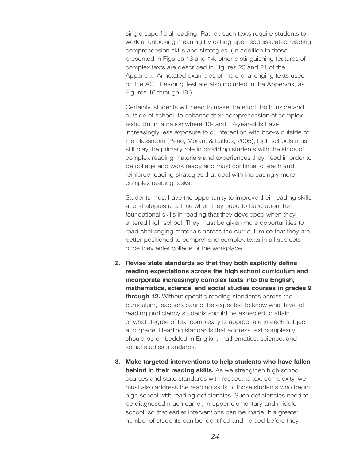single superficial reading. Rather, such texts require students to work at unlocking meaning by calling upon sophisticated reading comprehension skills and strategies. (In addition to those presented in Figures 13 and 14, other distinguishing features of complex texts are described in Figures 20 and 21 of the Appendix. Annotated examples of more challenging texts used on the ACT Reading Test are also included in the Appendix, as Figures 16 through 19.)

Certainly, students will need to make the effort, both inside and outside of school, to enhance their comprehension of complex texts. But in a nation where 13- and 17-year-olds have increasingly less exposure to or interaction with books outside of the classroom (Perie, Moran, & Lutkus, 2005), high schools must still play the primary role in providing students with the kinds of complex reading materials and experiences they need in order to be college and work ready and must continue to teach and reinforce reading strategies that deal with increasingly more complex reading tasks.

Students must have the opportunity to improve their reading skills and strategies at a time when they need to build upon the foundational skills in reading that they developed when they entered high school. They must be given more opportunities to read challenging materials across the curriculum so that they are better positioned to comprehend complex texts in all subjects once they enter college or the workplace.

- **2. Revise state standards so that they both explicitly define reading expectations across the high school curriculum and incorporate increasingly complex texts into the English, mathematics, science, and social studies courses in grades 9 through 12.** Without specific reading standards across the curriculum, teachers cannot be expected to know what level of reading proficiency students should be expected to attain or what degree of text complexity is appropriate in each subject and grade. Reading standards that address text complexity should be embedded in English, mathematics, science, and social studies standards.
- **3. Make targeted interventions to help students who have fallen behind in their reading skills.** As we strengthen high school courses and state standards with respect to text complexity, we must also address the reading skills of those students who begin high school with reading deficiencies. Such deficiencies need to be diagnosed much earlier, in upper elementary and middle school, so that earlier interventions can be made. If a greater number of students can be identified and helped before they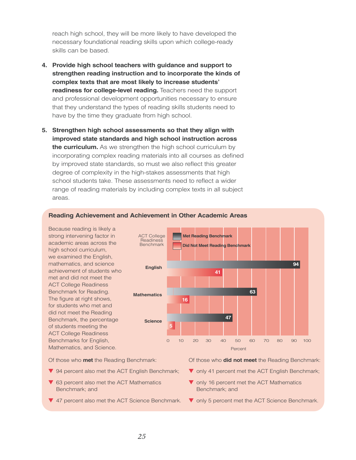reach high school, they will be more likely to have developed the necessary foundational reading skills upon which college-ready skills can be based.

- **4. Provide high school teachers with guidance and support to strengthen reading instruction and to incorporate the kinds of complex texts that are most likely to increase students' readiness for college-level reading.** Teachers need the support and professional development opportunities necessary to ensure that they understand the types of reading skills students need to have by the time they graduate from high school.
- **5. Strengthen high school assessments so that they align with improved state standards and high school instruction across the curriculum.** As we strengthen the high school curriculum by incorporating complex reading materials into all courses as defined by improved state standards, so must we also reflect this greater degree of complexity in the high-stakes assessments that high school students take. These assessments need to reflect a wider range of reading materials by including complex texts in all subject areas.

### **Reading Achievement and Achievement in Other Academic Areas**

Because reading is likely a strong intervening factor in academic areas across the high school curriculum, we examined the English, mathematics, and science achievement of students who met and did not meet the ACT College Readiness Benchmark for Reading. The figure at right shows, for students who met and did not meet the Reading Benchmark, the percentage of students meeting the ACT College Readiness Benchmarks for English, Mathematics, and Science.



Of those who **met** the Reading Benchmark:

- ▼ 94 percent also met the ACT English Benchmark;
- ▼ 63 percent also met the ACT Mathematics Benchmark; and
- ▼ 47 percent also met the ACT Science Benchmark.

Of those who **did not meet** the Reading Benchmark:

- ▼ only 41 percent met the ACT English Benchmark;
- ▼ only 16 percent met the ACT Mathematics Benchmark; and
- ▼ only 5 percent met the ACT Science Benchmark.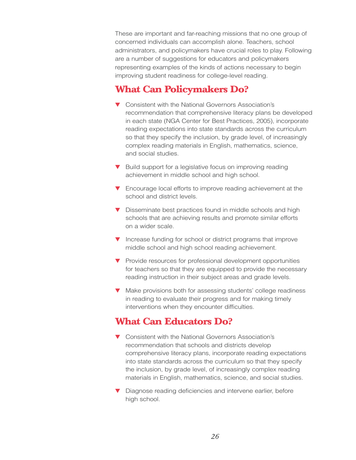These are important and far-reaching missions that no one group of concerned individuals can accomplish alone. Teachers, school administrators, and policymakers have crucial roles to play. Following are a number of suggestions for educators and policymakers representing examples of the kinds of actions necessary to begin improving student readiness for college-level reading.

## **What Can Policymakers Do?**

- ▼ Consistent with the National Governors Association's recommendation that comprehensive literacy plans be developed in each state (NGA Center for Best Practices, 2005), incorporate reading expectations into state standards across the curriculum so that they specify the inclusion, by grade level, of increasingly complex reading materials in English, mathematics, science, and social studies.
- ▼ Build support for a legislative focus on improving reading achievement in middle school and high school.
- ▼ Encourage local efforts to improve reading achievement at the school and district levels.
- ▼ Disseminate best practices found in middle schools and high schools that are achieving results and promote similar efforts on a wider scale.
- ▼ Increase funding for school or district programs that improve middle school and high school reading achievement.
- ▼ Provide resources for professional development opportunities for teachers so that they are equipped to provide the necessary reading instruction in their subject areas and grade levels.
- ▼ Make provisions both for assessing students' college readiness in reading to evaluate their progress and for making timely interventions when they encounter difficulties.

## **What Can Educators Do?**

- ▼ Consistent with the National Governors Association's recommendation that schools and districts develop comprehensive literacy plans, incorporate reading expectations into state standards across the curriculum so that they specify the inclusion, by grade level, of increasingly complex reading materials in English, mathematics, science, and social studies.
- ▼ Diagnose reading deficiencies and intervene earlier, before high school.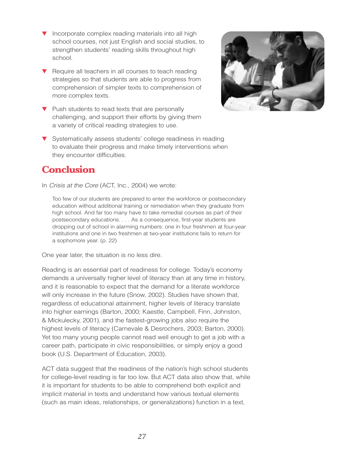- ▼ Incorporate complex reading materials into all high school courses, not just English and social studies, to strengthen students' reading skills throughout high school.
- ▼ Require all teachers in all courses to teach reading strategies so that students are able to progress from comprehension of simpler texts to comprehension of more complex texts.
- ▼ Push students to read texts that are personally challenging, and support their efforts by giving them a variety of critical reading strategies to use.



▼ Systematically assess students' college readiness in reading to evaluate their progress and make timely interventions when they encounter difficulties.

## **Conclusion**

In Crisis at the Core (ACT, Inc., 2004) we wrote:

Too few of our students are prepared to enter the workforce or postsecondary education without additional training or remediation when they graduate from high school. And far too many have to take remedial courses as part of their postsecondary educations. . . . As a consequence, first-year students are dropping out of school in alarming numbers: one in four freshmen at four-year institutions and one in two freshmen at two-year institutions fails to return for a sophomore year. (p. 22)

One year later, the situation is no less dire.

Reading is an essential part of readiness for college. Today's economy demands a universally higher level of literacy than at any time in history, and it is reasonable to expect that the demand for a literate workforce will only increase in the future (Snow, 2002). Studies have shown that, regardless of educational attainment, higher levels of literacy translate into higher earnings (Barton, 2000; Kaestle, Campbell, Finn, Johnston, & Mickulecky, 2001), and the fastest-growing jobs also require the highest levels of literacy (Carnevale & Desrochers, 2003; Barton, 2000). Yet too many young people cannot read well enough to get a job with a career path, participate in civic responsibilities, or simply enjoy a good book (U.S. Department of Education, 2003).

ACT data suggest that the readiness of the nation's high school students for college-level reading is far too low. But ACT data also show that, while it is important for students to be able to comprehend both explicit and implicit material in texts and understand how various textual elements (such as main ideas, relationships, or generalizations) function in a text,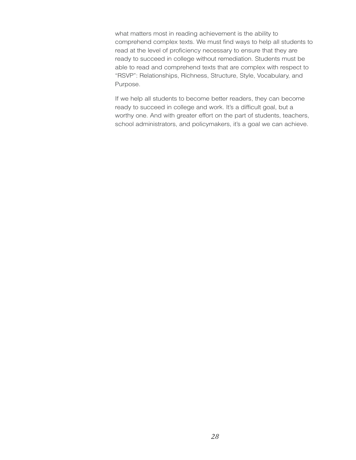what matters most in reading achievement is the ability to comprehend complex texts. We must find ways to help all students to read at the level of proficiency necessary to ensure that they are ready to succeed in college without remediation. Students must be able to read and comprehend texts that are complex with respect to "RSVP": Relationships, Richness, Structure, Style, Vocabulary, and Purpose.

If we help all students to become better readers, they can become ready to succeed in college and work. It's a difficult goal, but a worthy one. And with greater effort on the part of students, teachers, school administrators, and policymakers, it's a goal we can achieve.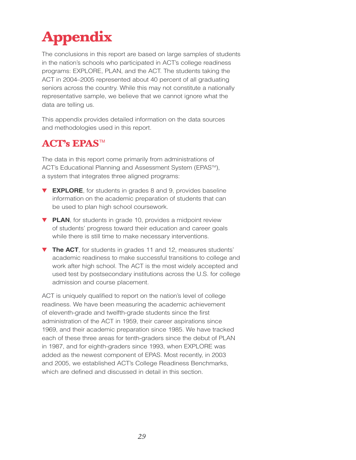# **Appendix**

The conclusions in this report are based on large samples of students in the nation's schools who participated in ACT's college readiness programs: EXPLORE, PLAN, and the ACT. The students taking the ACT in 2004–2005 represented about 40 percent of all graduating seniors across the country. While this may not constitute a nationally representative sample, we believe that we cannot ignore what the data are telling us.

This appendix provides detailed information on the data sources and methodologies used in this report.

## **ACT's EPAS**TM

The data in this report come primarily from administrations of ACT's Educational Planning and Assessment System (EPAS™), a system that integrates three aligned programs:

- ▼ **EXPLORE**, for students in grades 8 and 9, provides baseline information on the academic preparation of students that can be used to plan high school coursework.
- ▼ **PLAN**, for students in grade 10, provides a midpoint review of students' progress toward their education and career goals while there is still time to make necessary interventions.
- ▼ **The ACT**, for students in grades 11 and 12, measures students' academic readiness to make successful transitions to college and work after high school. The ACT is the most widely accepted and used test by postsecondary institutions across the U.S. for college admission and course placement.

ACT is uniquely qualified to report on the nation's level of college readiness. We have been measuring the academic achievement of eleventh-grade and twelfth-grade students since the first administration of the ACT in 1959, their career aspirations since 1969, and their academic preparation since 1985. We have tracked each of these three areas for tenth-graders since the debut of PLAN in 1987, and for eighth-graders since 1993, when EXPLORE was added as the newest component of EPAS. Most recently, in 2003 and 2005, we established ACT's College Readiness Benchmarks, which are defined and discussed in detail in this section.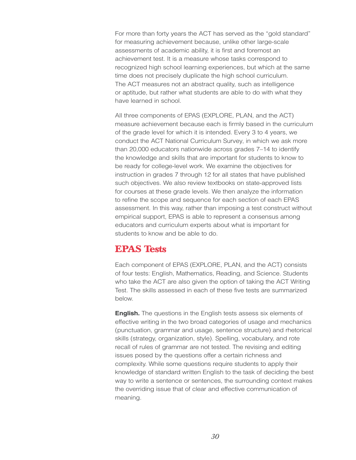For more than forty years the ACT has served as the "gold standard" for measuring achievement because, unlike other large-scale assessments of academic ability, it is first and foremost an achievement test. It is a measure whose tasks correspond to recognized high school learning experiences, but which at the same time does not precisely duplicate the high school curriculum. The ACT measures not an abstract quality, such as intelligence or aptitude, but rather what students are able to do with what they have learned in school.

All three components of EPAS (EXPLORE, PLAN, and the ACT) measure achievement because each is firmly based in the curriculum of the grade level for which it is intended. Every 3 to 4 years, we conduct the ACT National Curriculum Survey, in which we ask more than 20,000 educators nationwide across grades 7–14 to identify the knowledge and skills that are important for students to know to be ready for college-level work. We examine the objectives for instruction in grades 7 through 12 for all states that have published such objectives. We also review textbooks on state-approved lists for courses at these grade levels. We then analyze the information to refine the scope and sequence for each section of each EPAS assessment. In this way, rather than imposing a test construct without empirical support, EPAS is able to represent a consensus among educators and curriculum experts about what is important for students to know and be able to do.

## **EPAS Tests**

Each component of EPAS (EXPLORE, PLAN, and the ACT) consists of four tests: English, Mathematics, Reading, and Science. Students who take the ACT are also given the option of taking the ACT Writing Test. The skills assessed in each of these five tests are summarized below.

**English.** The questions in the English tests assess six elements of effective writing in the two broad categories of usage and mechanics (punctuation, grammar and usage, sentence structure) and rhetorical skills (strategy, organization, style). Spelling, vocabulary, and rote recall of rules of grammar are not tested. The revising and editing issues posed by the questions offer a certain richness and complexity. While some questions require students to apply their knowledge of standard written English to the task of deciding the best way to write a sentence or sentences, the surrounding context makes the overriding issue that of clear and effective communication of meaning.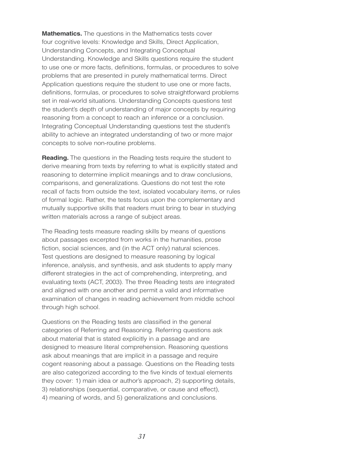**Mathematics.** The questions in the Mathematics tests cover four cognitive levels: Knowledge and Skills, Direct Application, Understanding Concepts, and Integrating Conceptual Understanding. Knowledge and Skills questions require the student to use one or more facts, definitions, formulas, or procedures to solve problems that are presented in purely mathematical terms. Direct Application questions require the student to use one or more facts, definitions, formulas, or procedures to solve straightforward problems set in real-world situations. Understanding Concepts questions test the student's depth of understanding of major concepts by requiring reasoning from a concept to reach an inference or a conclusion. Integrating Conceptual Understanding questions test the student's ability to achieve an integrated understanding of two or more major concepts to solve non-routine problems.

**Reading.** The questions in the Reading tests require the student to derive meaning from texts by referring to what is explicitly stated and reasoning to determine implicit meanings and to draw conclusions, comparisons, and generalizations. Questions do not test the rote recall of facts from outside the text, isolated vocabulary items, or rules of formal logic. Rather, the tests focus upon the complementary and mutually supportive skills that readers must bring to bear in studying written materials across a range of subject areas.

The Reading tests measure reading skills by means of questions about passages excerpted from works in the humanities, prose fiction, social sciences, and (in the ACT only) natural sciences. Test questions are designed to measure reasoning by logical inference, analysis, and synthesis, and ask students to apply many different strategies in the act of comprehending, interpreting, and evaluating texts (ACT, 2003). The three Reading tests are integrated and aligned with one another and permit a valid and informative examination of changes in reading achievement from middle school through high school.

Questions on the Reading tests are classified in the general categories of Referring and Reasoning. Referring questions ask about material that is stated explicitly in a passage and are designed to measure literal comprehension. Reasoning questions ask about meanings that are implicit in a passage and require cogent reasoning about a passage. Questions on the Reading tests are also categorized according to the five kinds of textual elements they cover: 1) main idea or author's approach, 2) supporting details, 3) relationships (sequential, comparative, or cause and effect), 4) meaning of words, and 5) generalizations and conclusions.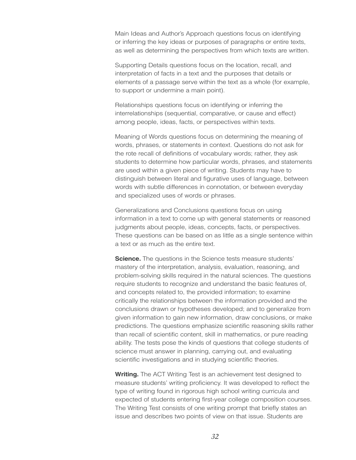Main Ideas and Author's Approach questions focus on identifying or inferring the key ideas or purposes of paragraphs or entire texts, as well as determining the perspectives from which texts are written.

Supporting Details questions focus on the location, recall, and interpretation of facts in a text and the purposes that details or elements of a passage serve within the text as a whole (for example, to support or undermine a main point).

Relationships questions focus on identifying or inferring the interrelationships (sequential, comparative, or cause and effect) among people, ideas, facts, or perspectives within texts.

Meaning of Words questions focus on determining the meaning of words, phrases, or statements in context. Questions do not ask for the rote recall of definitions of vocabulary words; rather, they ask students to determine how particular words, phrases, and statements are used within a given piece of writing. Students may have to distinguish between literal and figurative uses of language, between words with subtle differences in connotation, or between everyday and specialized uses of words or phrases.

Generalizations and Conclusions questions focus on using information in a text to come up with general statements or reasoned judgments about people, ideas, concepts, facts, or perspectives. These questions can be based on as little as a single sentence within a text or as much as the entire text.

**Science.** The questions in the Science tests measure students' mastery of the interpretation, analysis, evaluation, reasoning, and problem-solving skills required in the natural sciences. The questions require students to recognize and understand the basic features of, and concepts related to, the provided information; to examine critically the relationships between the information provided and the conclusions drawn or hypotheses developed; and to generalize from given information to gain new information, draw conclusions, or make predictions. The questions emphasize scientific reasoning skills rather than recall of scientific content, skill in mathematics, or pure reading ability. The tests pose the kinds of questions that college students of science must answer in planning, carrying out, and evaluating scientific investigations and in studying scientific theories.

**Writing.** The ACT Writing Test is an achievement test designed to measure students' writing proficiency. It was developed to reflect the type of writing found in rigorous high school writing curricula and expected of students entering first-year college composition courses. The Writing Test consists of one writing prompt that briefly states an issue and describes two points of view on that issue. Students are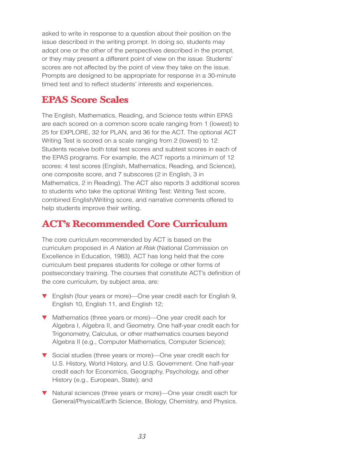asked to write in response to a question about their position on the issue described in the writing prompt. In doing so, students may adopt one or the other of the perspectives described in the prompt, or they may present a different point of view on the issue. Students' scores are not affected by the point of view they take on the issue. Prompts are designed to be appropriate for response in a 30-minute timed test and to reflect students' interests and experiences.

## **EPAS Score Scales**

The English, Mathematics, Reading, and Science tests within EPAS are each scored on a common score scale ranging from 1 (lowest) to 25 for EXPLORE, 32 for PLAN, and 36 for the ACT. The optional ACT Writing Test is scored on a scale ranging from 2 (lowest) to 12. Students receive both total test scores and subtest scores in each of the EPAS programs. For example, the ACT reports a minimum of 12 scores: 4 test scores (English, Mathematics, Reading, and Science), one composite score, and 7 subscores (2 in English, 3 in Mathematics, 2 in Reading). The ACT also reports 3 additional scores to students who take the optional Writing Test: Writing Test score, combined English/Writing score, and narrative comments offered to help students improve their writing.

## **ACT's Recommended Core Curriculum**

The core curriculum recommended by ACT is based on the curriculum proposed in A Nation at Risk (National Commission on Excellence in Education, 1983). ACT has long held that the core curriculum best prepares students for college or other forms of postsecondary training. The courses that constitute ACT's definition of the core curriculum, by subject area, are:

- ▼ English (four years or more)—One year credit each for English 9, English 10, English 11, and English 12;
- ▼ Mathematics (three years or more)—One year credit each for Algebra I, Algebra II, and Geometry. One half-year credit each for Trigonometry, Calculus, or other mathematics courses beyond Algebra II (e.g., Computer Mathematics, Computer Science);
- ▼ Social studies (three years or more)—One year credit each for U.S. History, World History, and U.S. Government. One half-year credit each for Economics, Geography, Psychology, and other History (e.g., European, State); and
- ▼ Natural sciences (three years or more)—One year credit each for General/Physical/Earth Science, Biology, Chemistry, and Physics.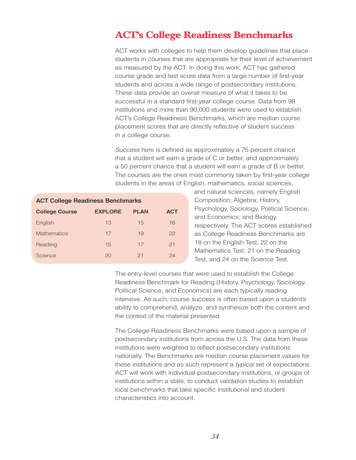## **ACT's College Readiness Benchmarks**

ACT works with colleges to help them develop guidelines that place students in courses that are appropriate for their level of achievement as measured by the ACT. In doing this work, ACT has gathered course grade and test score data from a large number of first-year students and across a wide range of postsecondary institutions. These data provide an overall measure of what it takes to be successful in a standard first-year college course. Data from 98 institutions and more than 90,000 students were used to establish ACT's College Readiness Benchmarks, which are median course placement scores that are directly reflective of student success in a college course.

Success here is defined as approximately a 75 percent chance that a student will earn a grade of C or better, and approximately a 50 percent chance that a student will earn a grade of B or better. The courses are the ones most commonly taken by first-year college students in the areas of English, mathematics, social sciences,

| <b>ACT College Readiness Benchmarks</b> |                |             |            |  |
|-----------------------------------------|----------------|-------------|------------|--|
| <b>College Course</b>                   | <b>EXPLORE</b> | <b>PLAN</b> | <b>ACT</b> |  |
| English                                 | 13             | 15          | 18         |  |
| <b>Mathematics</b>                      | 17             | 19          | 22         |  |
| Reading                                 | 15             | 17          | 21         |  |
| Science                                 | 20             | 21          | 24         |  |

and natural sciences, namely English Composition; Algebra; History, Psychology, Sociology, Political Science, and Economics; and Biology, respectively. The ACT scores established as College Readiness Benchmarks are 18 on the English Test, 22 on the Mathematics Test, 21 on the Reading Test, and 24 on the Science Test.

The entry-level courses that were used to establish the College Readiness Benchmark for Reading (History, Psychology, Sociology, Political Science, and Economics) are each typically reading intensive. As such, course success is often based upon a student's ability to comprehend, analyze, and synthesize both the content and the context of the material presented.

The College Readiness Benchmarks were based upon a sample of postsecondary institutions from across the U.S. The data from these institutions were weighted to reflect postsecondary institutions nationally. The Benchmarks are median course placement values for these institutions and as such represent a typical set of expectations. ACT will work with individual postsecondary institutions, or groups of institutions within a state, to conduct validation studies to establish local benchmarks that take specific institutional and student characteristics into account.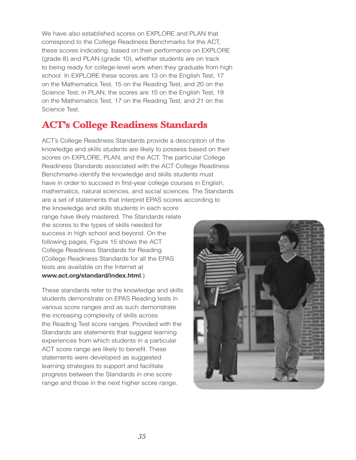We have also established scores on EXPLORE and PLAN that correspond to the College Readiness Benchmarks for the ACT, these scores indicating, based on their performance on EXPLORE (grade 8) and PLAN (grade 10), whether students are on track to being ready for college-level work when they graduate from high school. In EXPLORE these scores are 13 on the English Test, 17 on the Mathematics Test, 15 on the Reading Test, and 20 on the Science Test; in PLAN, the scores are 15 on the English Test, 19 on the Mathematics Test, 17 on the Reading Test, and 21 on the Science Test.

## **ACT's College Readiness Standards**

ACT's College Readiness Standards provide a description of the knowledge and skills students are likely to possess based on their scores on EXPLORE, PLAN, and the ACT. The particular College Readiness Standards associated with the ACT College Readiness Benchmarks identify the knowledge and skills students must have in order to succeed in first-year college courses in English, mathematics, natural sciences, and social sciences. The Standards are a set of statements that interpret EPAS scores according to

the knowledge and skills students in each score range have likely mastered. The Standards relate the scores to the types of skills needed for success in high school and beyond. On the following pages, Figure 15 shows the ACT College Readiness Standards for Reading. (College Readiness Standards for all the EPAS tests are available on the Internet at **www.act.org/standard/index.html**.)

These standards refer to the knowledge and skills students demonstrate on EPAS Reading tests in various score ranges and as such demonstrate the increasing complexity of skills across the Reading Test score ranges. Provided with the Standards are statements that suggest learning experiences from which students in a particular ACT score range are likely to benefit. These statements were developed as suggested learning strategies to support and facilitate progress between the Standards in one score range and those in the next higher score range.

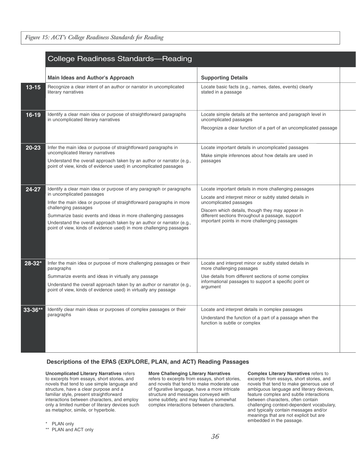|           | <b>College Readiness Standards--Reading</b>                                                                                                                                                                                                                                                                                                                                                                        |                                                                                                                                                                                                                                                                                                    |  |
|-----------|--------------------------------------------------------------------------------------------------------------------------------------------------------------------------------------------------------------------------------------------------------------------------------------------------------------------------------------------------------------------------------------------------------------------|----------------------------------------------------------------------------------------------------------------------------------------------------------------------------------------------------------------------------------------------------------------------------------------------------|--|
|           | <b>Main Ideas and Author's Approach</b>                                                                                                                                                                                                                                                                                                                                                                            | <b>Supporting Details</b>                                                                                                                                                                                                                                                                          |  |
| $13 - 15$ | Recognize a clear intent of an author or narrator in uncomplicated<br>literary narratives                                                                                                                                                                                                                                                                                                                          | Locate basic facts (e.g., names, dates, events) clearly<br>stated in a passage                                                                                                                                                                                                                     |  |
| $16-19$   | Identify a clear main idea or purpose of straightforward paragraphs<br>in uncomplicated literary narratives                                                                                                                                                                                                                                                                                                        | Locate simple details at the sentence and paragraph level in<br>uncomplicated passages<br>Recognize a clear function of a part of an uncomplicated passage                                                                                                                                         |  |
| 20-23     | Infer the main idea or purpose of straightforward paragraphs in<br>uncomplicated literary narratives<br>Understand the overall approach taken by an author or narrator (e.g.,<br>point of view, kinds of evidence used) in uncomplicated passages                                                                                                                                                                  | Locate important details in uncomplicated passages<br>Make simple inferences about how details are used in<br>passages                                                                                                                                                                             |  |
| 24-27     | Identify a clear main idea or purpose of any paragraph or paragraphs<br>in uncomplicated passages<br>Infer the main idea or purpose of straightforward paragraphs in more<br>challenging passages<br>Summarize basic events and ideas in more challenging passages<br>Understand the overall approach taken by an author or narrator (e.g.,<br>point of view, kinds of evidence used) in more challenging passages | Locate important details in more challenging passages<br>Locate and interpret minor or subtly stated details in<br>uncomplicated passages<br>Discern which details, though they may appear in<br>different sections throughout a passage, support<br>important points in more challenging passages |  |
| 28-32*    | Infer the main idea or purpose of more challenging passages or their<br>paragraphs<br>Summarize events and ideas in virtually any passage<br>Understand the overall approach taken by an author or narrator (e.g.,<br>point of view, kinds of evidence used) in virtually any passage                                                                                                                              | Locate and interpret minor or subtly stated details in<br>more challenging passages<br>Use details from different sections of some complex<br>informational passages to support a specific point or<br>argument                                                                                    |  |
| 33-36**   | Identify clear main ideas or purposes of complex passages or their<br>paragraphs                                                                                                                                                                                                                                                                                                                                   | Locate and interpret details in complex passages<br>Understand the function of a part of a passage when the<br>function is subtle or complex                                                                                                                                                       |  |

### **Descriptions of the EPAS (EXPLORE, PLAN, and ACT) Reading Passages**

### **Uncomplicated Literary Narratives** refers

to excerpts from essays, short stories, and novels that tend to use simple language and structure, have a clear purpose and a familiar style, present straightforward interactions between characters, and employ only a limited number of literary devices such as metaphor, simile, or hyperbole.

### **More Challenging Literary Narratives**

refers to excerpts from essays, short stories, and novels that tend to make moderate use of figurative language, have a more intricate structure and messages conveyed with some subtlety, and may feature somewhat complex interactions between characters.

**Complex Literary Narratives** refers to excerpts from essays, short stories, and novels that tend to make generous use of ambiguous language and literary devices, feature complex and subtle interactions between characters, often contain challenging context-dependent vocabulary, and typically contain messages and/or meanings that are not explicit but are embedded in the passage.

PLAN only

\*\* PLAN and ACT only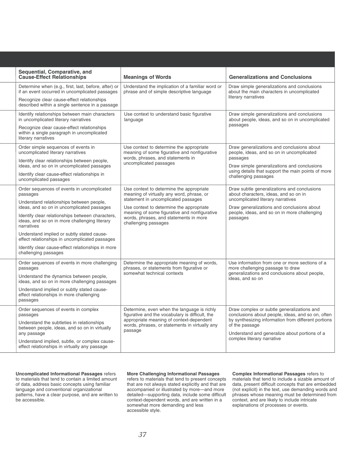| Sequential, Comparative, and<br><b>Cause-Effect Relationships</b>                                               | <b>Meanings of Words</b>                                                                                                                                                                                                                                                                   | <b>Generalizations and Conclusions</b>                                                                                                      |
|-----------------------------------------------------------------------------------------------------------------|--------------------------------------------------------------------------------------------------------------------------------------------------------------------------------------------------------------------------------------------------------------------------------------------|---------------------------------------------------------------------------------------------------------------------------------------------|
| Determine when (e.g., first, last, before, after) or<br>if an event occurred in uncomplicated passages          | Understand the implication of a familiar word or<br>phrase and of simple descriptive language                                                                                                                                                                                              | Draw simple generalizations and conclusions<br>about the main characters in uncomplicated<br>literary narratives                            |
| Recognize clear cause-effect relationships<br>described within a single sentence in a passage                   |                                                                                                                                                                                                                                                                                            |                                                                                                                                             |
| Identify relationships between main characters<br>in uncomplicated literary narratives                          | Use context to understand basic figurative<br>language                                                                                                                                                                                                                                     | Draw simple generalizations and conclusions<br>about people, ideas, and so on in uncomplicated<br>passages                                  |
| Recognize clear cause-effect relationships<br>within a single paragraph in uncomplicated<br>literary narratives |                                                                                                                                                                                                                                                                                            |                                                                                                                                             |
| Order simple sequences of events in<br>uncomplicated literary narratives                                        | Use context to determine the appropriate<br>meaning of some figurative and nonfigurative                                                                                                                                                                                                   | Draw generalizations and conclusions about<br>people, ideas, and so on in uncomplicated<br>passages                                         |
| Identify clear relationships between people,<br>ideas, and so on in uncomplicated passages                      | words, phrases, and statements in<br>uncomplicated passages                                                                                                                                                                                                                                | Draw simple generalizations and conclusions                                                                                                 |
| Identify clear cause-effect relationships in<br>uncomplicated passages                                          |                                                                                                                                                                                                                                                                                            | using details that support the main points of more<br>challenging passages                                                                  |
| Order sequences of events in uncomplicated<br>passages                                                          | Use context to determine the appropriate<br>meaning of virtually any word, phrase, or<br>statement in uncomplicated passages<br>Use context to determine the appropriate<br>meaning of some figurative and nonfigurative<br>words, phrases, and statements in more<br>challenging passages | Draw subtle generalizations and conclusions<br>about characters, ideas, and so on in                                                        |
| Understand relationships between people,<br>ideas, and so on in uncomplicated passages                          |                                                                                                                                                                                                                                                                                            | uncomplicated literary narratives<br>Draw generalizations and conclusions about<br>people, ideas, and so on in more challenging<br>passages |
| Identify clear relationships between characters,<br>ideas, and so on in more challenging literary<br>narratives |                                                                                                                                                                                                                                                                                            |                                                                                                                                             |
| Understand implied or subtly stated cause-<br>effect relationships in uncomplicated passages                    |                                                                                                                                                                                                                                                                                            |                                                                                                                                             |
| Identify clear cause-effect relationships in more<br>challenging passages                                       |                                                                                                                                                                                                                                                                                            |                                                                                                                                             |
| Order sequences of events in more challenging<br>passages                                                       | Determine the appropriate meaning of words,<br>phrases, or statements from figurative or<br>somewhat technical contexts                                                                                                                                                                    | Use information from one or more sections of a<br>more challenging passage to draw                                                          |
| Understand the dynamics between people,<br>ideas, and so on in more challenging passages                        |                                                                                                                                                                                                                                                                                            | generalizations and conclusions about people,<br>ideas, and so on                                                                           |
| Understand implied or subtly stated cause-<br>effect relationships in more challenging<br>passages              |                                                                                                                                                                                                                                                                                            |                                                                                                                                             |
| Order sequences of events in complex<br>passages                                                                | Determine, even when the language is richly<br>figurative and the vocabulary is difficult, the<br>appropriate meaning of context-dependent<br>words, phrases, or statements in virtually any<br>passage                                                                                    | Draw complex or subtle generalizations and<br>conclusions about people, ideas, and so on, often                                             |
| Understand the subtleties in relationships<br>between people, ideas, and so on in virtually                     |                                                                                                                                                                                                                                                                                            | by synthesizing information from different portions<br>of the passage                                                                       |
| any passage<br>Understand implied, subtle, or complex cause-<br>effect relationships in virtually any passage   |                                                                                                                                                                                                                                                                                            | Understand and generalize about portions of a<br>complex literary narrative                                                                 |
|                                                                                                                 |                                                                                                                                                                                                                                                                                            |                                                                                                                                             |

**Uncomplicated Informational Passages** refers to materials that tend to contain a limited amount of data, address basic concepts using familiar language and conventional organizational patterns, have a clear purpose, and are written to be accessible.

### **More Challenging Informational Passages**

refers to materials that tend to present concepts that are not always stated explicitly and that are accompanied or illustrated by more—and more detailed—supporting data, include some difficult context-dependent words, and are written in a somewhat more demanding and less accessible style.

#### **Complex Informational Passages** refers to

materials that tend to include a sizable amount of data, present difficult concepts that are embedded (not explicit) in the text, use demanding words and phrases whose meaning must be determined from context, and are likely to include intricate explanations of processes or events.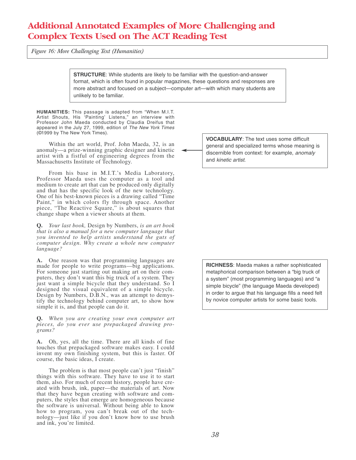## **Additional Annotated Examples of More Challenging and Complex Texts Used on The ACT Reading Test**

*Figure 16: More Challenging Text (Humanities)*

**STRUCTURE**: While students are likely to be familiar with the question-and-answer format, which is often found in popular magazines, these questions and responses are more abstract and focused on a subject—computer art—with which many students are unlikely to be familiar.

**HUMANITIES:** This passage is adapted from "When M.I.T. Artist Shouts, His 'Painting' Listens," an interview with Professor John Maeda conducted by Claudia Dreifus that appeared in the July 27, 1999, edition of The New York Times (©1999 by The New York Times).

Within the art world, Prof. John Maeda, 32, is an anomaly—a prize-winning graphic designer and kinetic artist with a fistful of engineering degrees from the Massachusetts Institute of Technology.

From his base in M.I.T.'s Media Laboratory, Professor Maeda uses the computer as a tool and medium to create art that can be produced only digitally and that has the specific look of the new technology. One of his best-known pieces is a drawing called "Time Paint," in which colors fly through space. Another piece, "The Reactive Square," is about squares that change shape when a viewer shouts at them.

**Q.** *Your last book,* Design by Numbers, *is an art book that is also a manual for a new computer language that you invented to help artists understand the guts of computer design. Why create a whole new computer language?*

**A.** One reason was that programming languages are made for people to write programs—big applications. For someone just starting out making art on their computers, they don't want this big truck of a system. They just want a simple bicycle that they understand. So I designed the visual equivalent of a simple bicycle. Design by Numbers, D.B.N., was an attempt to demystify the technology behind computer art, to show how simple it is, and that people can do it.

**Q.** *When you are creating your own computer art pieces, do you ever use prepackaged drawing programs?*

**A.** Oh, yes, all the time. There are all kinds of fine touches that prepackaged software makes easy. I could invent my own finishing system, but this is faster. Of course, the basic ideas, I create.

The problem is that most people can't just "finish" things with this software. They have to use it to start them, also. For much of recent history, people have created with brush, ink, paper—the materials of art. Now that they have begun creating with software and computers, the styles that emerge are homogeneous because the software is universal. Without being able to know how to program, you can't break out of the technology—just like if you don't know how to use brush and ink, you're limited.

**VOCABULARY**: The text uses some difficult general and specialized terms whose meaning is discernible from context: for example, anomaly and kinetic artist.

**RICHNESS**: Maeda makes a rather sophisticated metaphorical comparison between a "big truck of a system" (most programming languages) and "a simple bicycle" (the language Maeda developed) in order to argue that his language fills a need felt by novice computer artists for some basic tools.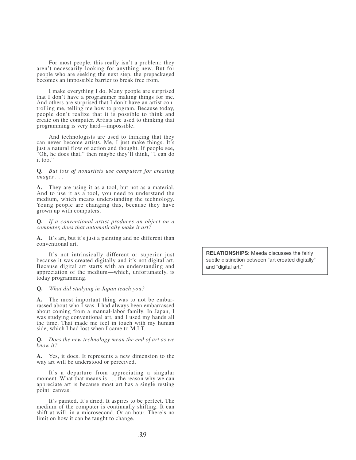For most people, this really isn't a problem; they aren't necessarily looking for anything new. But for people who are seeking the next step, the prepackaged becomes an impossible barrier to break free from.

I make everything I do. Many people are surprised that I don't have a programmer making things for me. And others are surprised that I don't have an artist controlling me, telling me how to program. Because today, people don't realize that it is possible to think and create on the computer. Artists are used to thinking that programming is very hard—impossible.

And technologists are used to thinking that they can never become artists. Me, I just make things. It's just a natural flow of action and thought. If people see, "Oh, he does that," then maybe they'll think, "I can do it too."

**Q.** *But lots of nonartists use computers for creating images . . .*

**A.** They are using it as a tool, but not as a material. And to use it as a tool, you need to understand the medium, which means understanding the technology. Young people are changing this, because they have grown up with computers.

**Q.** *If a conventional artist produces an object on a computer, does that automatically make it art?*

**A.** It's art, but it's just a painting and no different than conventional art.

It's not intrinsically different or superior just because it was created digitally and it's not digital art. Because digital art starts with an understanding and appreciation of the medium—which, unfortunately, is today programming.

### **Q.** *What did studying in Japan teach you?*

**A.** The most important thing was to not be embarrassed about who I was. I had always been embarrassed about coming from a manual-labor family. In Japan, I was studying conventional art, and I used my hands all the time. That made me feel in touch with my human side, which I had lost when I came to M.I.T.

**Q.** *Does the new technology mean the end of art as we know it?*

**A.** Yes, it does. It represents a new dimension to the way art will be understood or perceived.

It's a departure from appreciating a singular moment. What that means is . . . the reason why we can appreciate art is because most art has a single resting point: canvas.

It's painted. It's dried. It aspires to be perfect. The medium of the computer is continually shifting. It can shift at will, in a microsecond. Or an hour. There's no limit on how it can be taught to change.

**RELATIONSHIPS**: Maeda discusses the fairly subtle distinction between "art created digitally" and "digital art."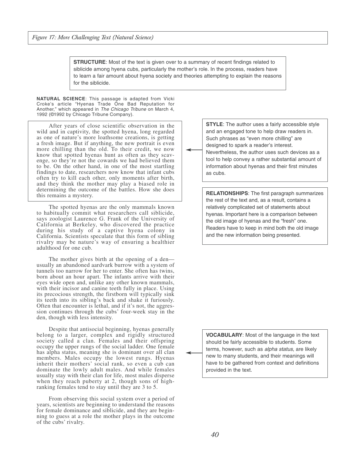**STRUCTURE**: Most of the text is given over to a summary of recent findings related to siblicide among hyena cubs, particularly the mother's role. In the process, readers have to learn a fair amount about hyena society and theories attempting to explain the reasons for the siblicide.

**NATURAL SCIENCE**: This passage is adapted from Vicki Croke's article "Hyenas Trade One Bad Reputation for Another," which appeared in The Chicago Tribune on March 4, 1992 (©1992 by Chicago Tribune Company).

After years of close scientific observation in the wild and in captivity, the spotted hyena, long regarded as one of nature's more loathsome creations, is getting a fresh image. But if anything, the new portrait is even more chilling than the old. To their credit, we now know that spotted hyenas hunt as often as they scavenge, so they're not the cowards we had believed them to be. On the other hand, in one of the most startling findings to date, researchers now know that infant cubs often try to kill each other, only moments after birth, and they think the mother may play a biased role in determining the outcome of the battles. How she does this remains a mystery.

The spotted hyenas are the only mammals known to habitually commit what researchers call siblicide, says zoologist Laurence G. Frank of the University of California at Berkeley, who discovered the practice during his study of a captive hyena colony in California. Scientists speculate that this form of sibling rivalry may be nature's way of ensuring a healthier adulthood for one cub.

The mother gives birth at the opening of a den usually an abandoned aardvark burrow with a system of tunnels too narrow for her to enter. She often has twins, born about an hour apart. The infants arrive with their eyes wide open and, unlike any other known mammals, with their incisor and canine teeth fully in place. Using its precocious strength, the firstborn will typically sink its teeth into its sibling's back and shake it furiously. Often that encounter is lethal, and if it's not, the aggression continues through the cubs' four-week stay in the den, though with less intensity.

Despite that antisocial beginning, hyenas generally belong to a larger, complex and rigidly structured society called a clan. Females and their offspring occupy the upper rungs of the social ladder. One female has alpha status, meaning she is dominant over all clan members. Males occupy the lowest rungs. Hyenas inherit their mothers' social rank, so even a cub can dominate the lowly adult males. And while females usually stay with their clan for life, most males disperse when they reach puberty at 2, though sons of highranking females tend to stay until they are 3 to 5.

From observing this social system over a period of years, scientists are beginning to understand the reasons for female dominance and siblicide, and they are beginning to guess at a role the mother plays in the outcome of the cubs' rivalry.

**STYLE**: The author uses a fairly accessible style and an engaged tone to help draw readers in. Such phrases as "even more chilling" are designed to spark a reader's interest. Nevertheless, the author uses such devices as a tool to help convey a rather substantial amount of information about hyenas and their first minutes as cubs.

**RELATIONSHIPS**: The first paragraph summarizes the rest of the text and, as a result, contains a relatively complicated set of statements about hyenas. Important here is a comparison between the old image of hyenas and the "fresh" one. Readers have to keep in mind both the old image and the new information being presented.

**VOCABULARY**: Most of the language in the text should be fairly accessible to students. Some terms, however, such as *alpha status*, are likely new to many students, and their meanings will have to be gathered from context and definitions provided in the text.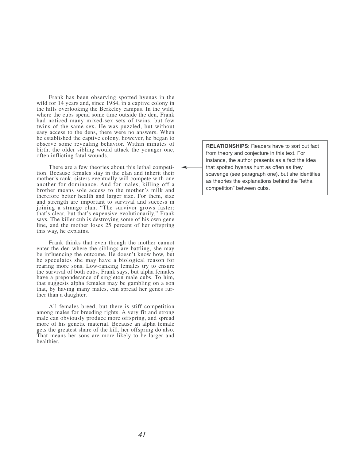Frank has been observing spotted hyenas in the wild for 14 years and, since 1984, in a captive colony in the hills overlooking the Berkeley campus. In the wild, where the cubs spend some time outside the den, Frank had noticed many mixed-sex sets of twins, but few twins of the same sex. He was puzzled, but without easy access to the dens, there were no answers. When he established the captive colony, however, he began to observe some revealing behavior. Within minutes of birth, the older sibling would attack the younger one, often inflicting fatal wounds.

There are a few theories about this lethal competition. Because females stay in the clan and inherit their mother's rank, sisters eventually will compete with one another for dominance. And for males, killing off a brother means sole access to the mother's milk and therefore better health and larger size. For them, size and strength are important to survival and success in joining a strange clan. "The survivor grows faster; that's clear, but that's expensive evolutionarily," Frank says. The killer cub is destroying some of his own gene line, and the mother loses 25 percent of her offspring this way, he explains.

Frank thinks that even though the mother cannot enter the den where the siblings are battling, she may be influencing the outcome. He doesn't know how, but he speculates she may have a biological reason for rearing more sons. Low-ranking females try to ensure the survival of both cubs, Frank says, but alpha females have a preponderance of singleton male cubs. To him, that suggests alpha females may be gambling on a son that, by having many mates, can spread her genes further than a daughter.

All females breed, but there is stiff competition among males for breeding rights. A very fit and strong male can obviously produce more offspring, and spread more of his genetic material. Because an alpha female gets the greatest share of the kill, her offspring do also. That means her sons are more likely to be larger and healthier.

**RELATIONSHIPS**: Readers have to sort out fact from theory and conjecture in this text. For instance, the author presents as a fact the idea that spotted hyenas hunt as often as they scavenge (see paragraph one), but she identifies as theories the explanations behind the "lethal competition" between cubs.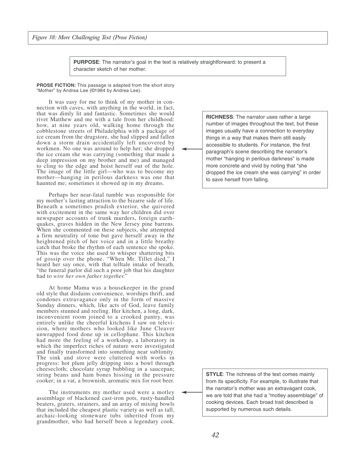**PURPOSE:** The narrator's goal in the text is relatively straightforward: to present a character sketch of her mother.

**PROSE FICTION:** This passage is adapted from the short story "Mother" by Andrea Lee (©1984 by Andrea Lee).

It was easy for me to think of my mother in connection with caves, with anything in the world, in fact, that was dimly lit and fantastic. Sometimes she would rivet Matthew and me with a tale from her childhood: how, at nine years old, walking home through the cobblestone streets of Philadelphia with a package of ice cream from the drugstore, she had slipped and fallen down a storm drain accidentally left uncovered by workmen. No one was around to help her; she dropped the ice cream she was carrying (something that made a deep impression on my brother and me) and managed to cling to the edge and hoist herself out of the hole. The image of the little girl—who was to become my mother—hanging in perilous darkness was one that haunted me; sometimes it showed up in my dreams.

Perhaps her near-fatal tumble was responsible for my mother's lasting attraction to the bizarre side of life. Beneath a sometimes prudish exterior, she quivered with excitement in the same way her children did over newspaper accounts of trunk murders, foreign earthquakes, graves hidden in the New Jersey pine barrens. When she commented on these subjects, she attempted a firm neutrality of tone but gave herself away in the heightened pitch of her voice and in a little breathy catch that broke the rhythm of each sentence she spoke. This was the voice she used to whisper shattering bits of gossip over the phone. "When Mr. Tillet died," I heard her say once, with that telltale intake of breath, "the funeral parlor did such a poor job that his daughter had to *wire her own father together.*"

At home Mama was a housekeeper in the grand old style that disdains convenience, worships thrift, and condones extravagance only in the form of massive Sunday dinners, which, like acts of God, leave family members stunned and reeling. Her kitchen, a long, dark, inconvenient room joined to a crooked pantry, was entirely unlike the cheerful kitchens I saw on television, where mothers who looked like June Cleaver unwrapped food done up in cellophane. This kitchen had more the feeling of a workshop, a laboratory in which the imperfect riches of nature were investigated and finally transformed into something near sublimity. The sink and stove were cluttered with works in progress: hot plum jelly dripping into a bowl through cheesecloth; chocolate syrup bubbling in a saucepan; string beans and ham bones hissing in the pressure cooker; in a vat, a brownish, aromatic mix for root beer.

The instruments my mother used were a motley assemblage of blackened cast-iron pots, rusty-handled beaters, graters, strainers, and an array of mixing bowls that included the cheapest plastic variety as well as tall, archaic-looking stoneware tubs inherited from my grandmother, who had herself been a legendary cook.

**RICHNESS**: The narrator uses rather a large number of images throughout the text, but these images usually have a connection to everyday things in a way that makes them still easily accessible to students. For instance, the first paragraph's scene describing the narrator's mother "hanging in perilous darkness" is made more concrete and vivid by noting that "she dropped the ice cream she was carrying" in order to save herself from falling.

**STYLE**: The richness of the text comes mainly from its specificity. For example, to illustrate that the narrator's mother was an extravagant cook, we are told that she had a "motley assemblage" of cooking devices. Each broad trait described is supported by numerous such details.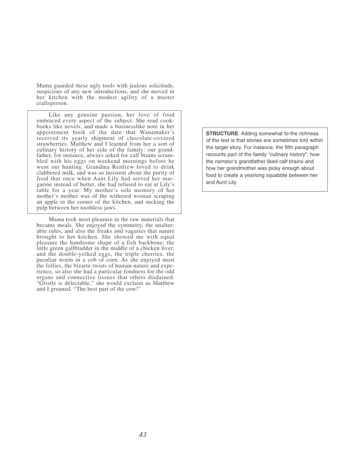Mama guarded these ugly tools with jealous solicitude, suspicious of any new introductions, and she moved in her kitchen with the modest agility of a master craftsperson.

Like any genuine passion, her love of food embraced every aspect of the subject. She read cookbooks like novels, and made a businesslike note in her appointment book of the date that Wanamaker's received its yearly shipment of chocolate-covered strawberries. Matthew and I learned from her a sort of culinary history of her side of the family: our grandfather, for instance, always asked for calf brains scrambled with his eggs on weekend mornings before he went out hunting. Grandma Renfrew loved to drink clabbered milk, and was so insistent about the purity of food that once when Aunt Lily had served her margarine instead of butter, she had refused to eat at Lily's table for a year. My mother's sole memory of her mother's mother was of the withered woman scraping an apple in the corner of the kitchen, and sucking the pulp between her toothless jaws.

Mama took most pleasure in the raw materials that became meals. She enjoyed the symmetry, the unalterable rules, and also the freaks and vagaries that nature brought to her kitchen. She showed me with equal pleasure the handsome shape of a fish backbone; the little green gallbladder in the middle of a chicken liver; and the double-yolked eggs, the triple cherries, the peculiar worm in a cob of corn. As she enjoyed most the follies, the bizarre twists of human nature and experience, so also she had a particular fondness for the odd organs and connective tissues that others disdained. "Gristle is delectable," she would exclaim as Matthew and I groaned. "The best part of the cow!"

**STRUCTURE**: Adding somewhat to the richness of the text is that stories are sometimes told within the larger story. For instance, the fifth paragraph recounts part of the family "culinary history": how the narrator's grandfather liked calf brains and how her grandmother was picky enough about food to create a yearlong squabble between her and Aunt Lily.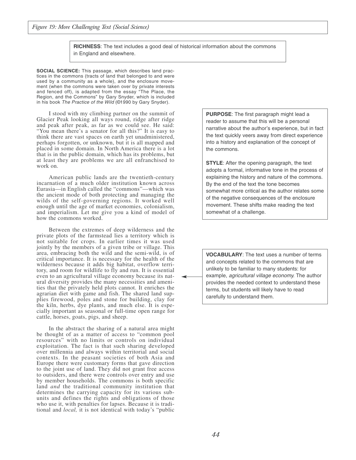**RICHNESS**: The text includes a good deal of historical information about the commons in England and elsewhere.

**SOCIAL SCIENCE:** This passage, which describes land practices in the commons (tracts of land that belonged to and were used by a community as a whole), and the enclosure movement (when the commons were taken over by private interests and fenced off), is adapted from the essay "The Place, the Region, and the Commons" by Gary Snyder, which is included in his book The Practice of the Wild (©1990 by Gary Snyder).

I stood with my climbing partner on the summit of Glacier Peak looking all ways round, ridge after ridge and peak after peak, as far as we could see. He said: "You mean there's a senator for all this?" It is easy to think there are vast spaces on earth yet unadministered, perhaps forgotten, or unknown, but it is all mapped and placed in some domain. In North America there is a lot that is in the public domain, which has its problems, but at least they are problems we are all enfranchised to work on.

American public lands are the twentieth-century incarnation of a much older institution known across Eurasia—in English called the "commons"—which was the ancient mode of both protecting and managing the wilds of the self-governing regions. It worked well enough until the age of market economies, colonialism, and imperialism. Let me give you a kind of model of how the commons worked.

Between the extremes of deep wilderness and the private plots of the farmstead lies a territory which is not suitable for crops. In earlier times it was used jointly by the members of a given tribe or village. This area, embracing both the wild and the semi-wild, is of critical importance. It is necessary for the health of the wilderness because it adds big habitat, overflow territory, and room for wildlife to fly and run. It is essential even to an agricultural village economy because its natural diversity provides the many necessities and amenities that the privately held plots cannot. It enriches the agrarian diet with game and fish. The shared land supplies firewood, poles and stone for building, clay for the kiln, herbs, dye plants, and much else. It is especially important as seasonal or full-time open range for cattle, horses, goats, pigs, and sheep.

In the abstract the sharing of a natural area might be thought of as a matter of access to "common pool resources" with no limits or controls on individual exploitation. The fact is that such sharing developed over millennia and always within territorial and social contexts. In the peasant societies of both Asia and Europe there were customary forms that gave direction to the joint use of land. They did not grant free access to outsiders, and there were controls over entry and use by member households. The commons is both specific land *and* the traditional community institution that determines the carrying capacity for its various subunits and defines the rights and obligations of those who use it, with penalties for lapses. Because it is traditional and *local,* it is not identical with today's "public **PURPOSE**: The first paragraph might lead a reader to assume that this will be a personal narrative about the author's experience, but in fact the text quickly veers away from direct experience into a history and explanation of the concept of the commons.

**STYLE**: After the opening paragraph, the text adopts a formal, informative tone in the process of explaining the history and nature of the commons. By the end of the text the tone becomes somewhat more critical as the author relates some of the negative consequences of the enclosure movement. These shifts make reading the text somewhat of a challenge.

**VOCABULARY**: The text uses a number of terms and concepts related to the commons that are unlikely to be familiar to many students: for example, agricultural village economy. The author provides the needed context to understand these terms, but students will likely have to read carefully to understand them.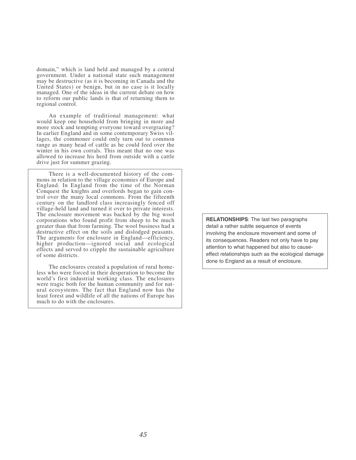domain," which is land held and managed by a central government. Under a national state such management may be destructive (as it is becoming in Canada and the United States) or benign, but in no case is it locally managed. One of the ideas in the current debate on how to reform our public lands is that of returning them to regional control.

An example of traditional management: what would keep one household from bringing in more and more stock and tempting everyone toward overgrazing? In earlier England and in some contemporary Swiss villages, the commoner could only turn out to common range as many head of cattle as he could feed over the winter in his own corrals. This meant that no one was allowed to increase his herd from outside with a cattle drive just for summer grazing.

There is a well-documented history of the commons in relation to the village economies of Europe and England. In England from the time of the Norman Conquest the knights and overlords began to gain control over the many local commons. From the fifteenth century on the landlord class increasingly fenced off village-held land and turned it over to private interests. The enclosure movement was backed by the big wool corporations who found profit from sheep to be much greater than that from farming. The wool business had a destructive effect on the soils and dislodged peasants. The arguments for enclosure in England—efficiency, higher production—ignored social and ecological effects and served to cripple the sustainable agriculture of some districts.

The enclosures created a population of rural homeless who were forced in their desperation to become the world's first industrial working class. The enclosures were tragic both for the human community and for natural ecosystems. The fact that England now has the least forest and wildlife of all the nations of Europe has much to do with the enclosures.

**RELATIONSHIPS**: The last two paragraphs detail a rather subtle sequence of events involving the enclosure movement and some of its consequences. Readers not only have to pay attention to what happened but also to causeeffect relationships such as the ecological damage done to England as a result of enclosure.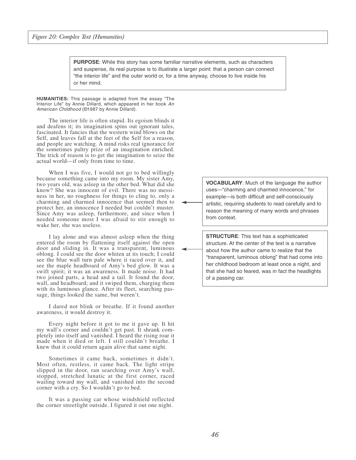**PURPOSE**: While this story has some familiar narrative elements, such as characters and suspense, its real purpose is to illustrate a larger point: that a person can connect "the interior life" and the outer world or, for a time anyway, choose to live inside his or her mind.

**HUMANITIES:** This passage is adapted from the essay "The Interior Life" by Annie Dillard, which appeared in her book An American Childhood (©1987 by Annie Dillard).

The interior life is often stupid. Its egoism blinds it and deafens it; its imagination spins out ignorant tales, fascinated. It fancies that the western wind blows on the Self, and leaves fall at the feet of the Self for a reason, and people are watching. A mind risks real ignorance for the sometimes paltry prize of an imagination enriched. The trick of reason is to get the imagination to seize the actual world—if only from time to time.

When I was five, I would not go to bed willingly because something came into my room. My sister Amy, two years old, was asleep in the other bed. What did she know? She was innocent of evil. There was no messiness in her, no roughness for things to cling to, only a charming and charmed innocence that seemed then to protect her, an innocence I needed but couldn't muster. Since Amy was asleep, furthermore, and since when I needed someone most I was afraid to stir enough to wake her, she was useless.

I lay alone and was almost asleep when the thing entered the room by flattening itself against the open door and sliding in. It was a transparent, luminous oblong. I could see the door whiten at its touch; I could see the blue wall turn pale where it raced over it, and see the maple headboard of Amy's bed glow. It was a swift spirit; it was an awareness. It made noise. It had two joined parts, a head and a tail. It found the door, wall, and headboard; and it swiped them, charging them with its luminous glance. After its fleet, searching passage, things looked the same, but weren't.

I dared not blink or breathe. If it found another awareness, it would destroy it.

Every night before it got to me it gave up. It hit my wall's corner and couldn't get past. It shrank completely into itself and vanished. I heard the rising roar it made when it died or left. I still couldn't breathe. I knew that it could return again alive that same night.

Sometimes it came back, sometimes it didn't. Most often, restless, it came back. The light stripe slipped in the door, ran searching over Amy's wall, stopped, stretched lunatic at the first corner, raced wailing toward my wall, and vanished into the second corner with a cry. So I wouldn't go to bed.

It was a passing car whose windshield reflected the corner streetlight outside. I figured it out one night.

**VOCABULARY**: Much of the language the author uses—"charming and charmed innocence," for example—is both difficult and self-consciously artistic, requiring students to read carefully and to reason the meaning of many words and phrases from context.

**STRUCTURE**: This text has a sophisticated structure. At the center of the text is a narrative about how the author came to realize that the "transparent, luminous oblong" that had come into her childhood bedroom at least once a night, and that she had so feared, was in fact the headlights of a passing car.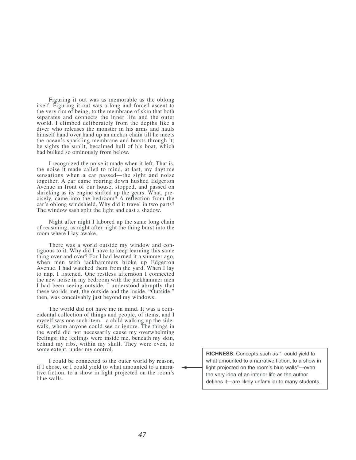Figuring it out was as memorable as the oblong itself. Figuring it out was a long and forced ascent to the very rim of being, to the membrane of skin that both separates and connects the inner life and the outer world. I climbed deliberately from the depths like a diver who releases the monster in his arms and hauls himself hand over hand up an anchor chain till he meets the ocean's sparkling membrane and bursts through it; he sights the sunlit, becalmed hull of his boat, which had bulked so ominously from below.

I recognized the noise it made when it left. That is, the noise it made called to mind, at last, my daytime sensations when a car passed—the sight and noise together. A car came roaring down hushed Edgerton Avenue in front of our house, stopped, and passed on shrieking as its engine shifted up the gears. What, precisely, came into the bedroom? A reflection from the car's oblong windshield. Why did it travel in two parts? The window sash split the light and cast a shadow.

Night after night I labored up the same long chain of reasoning, as night after night the thing burst into the room where I lay awake.

There was a world outside my window and contiguous to it. Why did I have to keep learning this same thing over and over? For I had learned it a summer ago, when men with jackhammers broke up Edgerton Avenue. I had watched them from the yard. When I lay to nap, I listened. One restless afternoon I connected the new noise in my bedroom with the jackhammer men I had been seeing outside. I understood abruptly that these worlds met, the outside and the inside. "Outside," then, was conceivably just beyond my windows.

The world did not have me in mind. It was a coincidental collection of things and people, of items, and I myself was one such item—a child walking up the sidewalk, whom anyone could see or ignore. The things in the world did not necessarily cause my overwhelming feelings; the feelings were inside me, beneath my skin, behind my ribs, within my skull. They were even, to some extent, under my control.

I could be connected to the outer world by reason, if I chose, or I could yield to what amounted to a narrative fiction, to a show in light projected on the room's blue walls.

**RICHNESS**: Concepts such as "I could yield to what amounted to a narrative fiction, to a show in light projected on the room's blue walls"—even the very idea of an interior life as the author defines it—are likely unfamiliar to many students.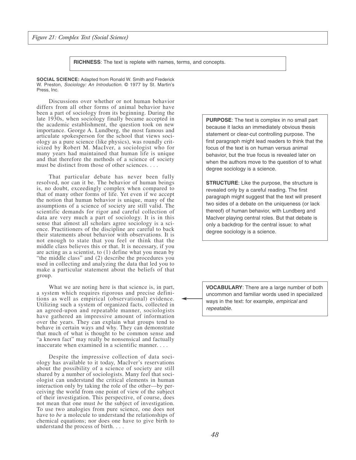**RICHNESS**: The text is replete with names, terms, and concepts.

**SOCIAL SCIENCE:** Adapted from Ronald W. Smith and Frederick W. Preston, Sociology: An Introduction. © 1977 by St. Martin's Press, Inc.

Discussions over whether or not human behavior differs from all other forms of animal behavior have been a part of sociology from its beginning. During the late 1930s, when sociology finally became accepted in the academic establishment, the question took on new importance. George A. Lundberg, the most famous and articulate spokesperson for the school that views sociology as a pure science (like physics), was roundly criticized by Robert M. MacIver, a sociologist who for many years had maintained that human life is unique and that therefore the methods of a science of society must be distinct from those of other sciences. . . .

That particular debate has never been fully resolved, nor can it be. The behavior of human beings is, no doubt, exceedingly complex when compared to that of many other forms of life. Yet even if we accept the notion that human behavior is unique, many of the assumptions of a science of society are still valid. The scientific demands for rigor and careful collection of data are very much a part of sociology. It is in this sense that almost all scholars agree sociology is a science. Practitioners of the discipline are careful to back their statements about behavior with observations. It is not enough to state that you feel or think that the middle class believes this or that. It is necessary, if you are acting as a scientist, to (1) define what you mean by "the middle class" and (2) describe the procedures you used in collecting and analyzing the data that led you to make a particular statement about the beliefs of that group.

What we are noting here is that science is, in part, a system which requires rigorous and precise definitions as well as empirical (observational) evidence. Utilizing such a system of organized facts, collected in an agreed-upon and repeatable manner, sociologists have gathered an impressive amount of information over the years. They can explain what groups tend to behave in certain ways and why. They can demonstrate that much of what is thought to be common sense and "a known fact" may really be nonsensical and factually inaccurate when examined in a scientific manner. . . .

Despite the impressive collection of data sociology has available to it today, MacIver's reservations about the possibility of a science of society are still shared by a number of sociologists. Many feel that sociologist can understand the critical elements in human interaction only by taking the role of the other—by perceiving the world from one point of view of the subject of their investigation. This perspective, of course, does not mean that one must *be* the subject of investigation. To use two analogies from pure science, one does not have to *be* a molecule to understand the relationships of chemical equations; nor does one have to give birth to understand the process of birth. . . .

**PURPOSE**: The text is complex in no small part because it lacks an immediately obvious thesis statement or clear-cut controlling purpose. The first paragraph might lead readers to think that the focus of the text is on human versus animal behavior, but the true focus is revealed later on when the authors move to the question of to what degree sociology is a science.

**STRUCTURE**: Like the purpose, the structure is revealed only by a careful reading. The first paragraph might suggest that the text will present two sides of a debate on the uniqueness (or lack thereof) of human behavior, with Lundberg and MacIver playing central roles. But that debate is only a backdrop for the central issue: to what degree sociology is a science.

**VOCABULARY**: There are a large number of both uncommon and familiar words used in specialized ways in the text: for example, empirical and repeatable.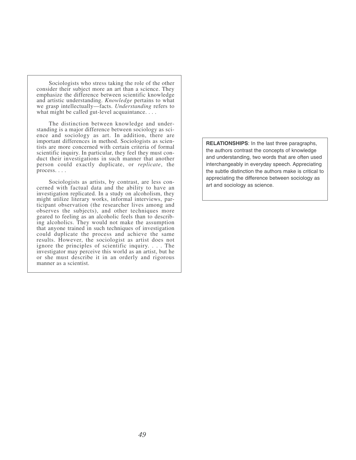Sociologists who stress taking the role of the other consider their subject more an art than a science. They emphasize the difference between scientific knowledge and artistic understanding. *Knowledge* pertains to what we grasp intellectually—facts. *Understanding* refers to what might be called gut-level acquaintance.  $\ldots$ 

The distinction between knowledge and understanding is a major difference between sociology as science and sociology as art. In addition, there are important differences in method. Sociologists as scientists are more concerned with certain criteria of formal scientific inquiry. In particular, they feel they must conduct their investigations in such manner that another person could exactly duplicate, or *replicate*, the process. . . .

Sociologists as artists, by contrast, are less concerned with factual data and the ability to have an investigation replicated. In a study on alcoholism, they might utilize literary works, informal interviews, participant observation (the researcher lives among and observes the subjects), and other techniques more geared to feeling as an alcoholic feels than to describing alcoholics. They would not make the assumption that anyone trained in such techniques of investigation could duplicate the process and achieve the same results. However, the sociologist as artist does not ignore the principles of scientific inquiry. . . . The investigator may perceive this world as an artist, but he or she must describe it in an orderly and rigorous manner as a scientist.

**RELATIONSHIPS**: In the last three paragraphs, the authors contrast the concepts of knowledge and understanding, two words that are often used interchangeably in everyday speech. Appreciating the subtle distinction the authors make is critical to appreciating the difference between sociology as art and sociology as science.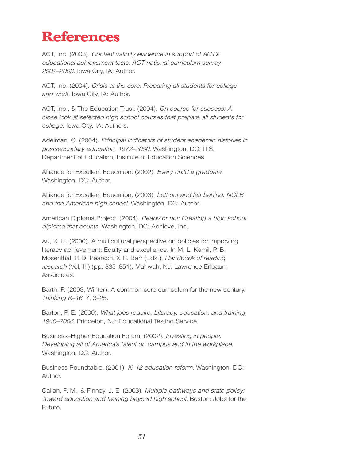# **References**

ACT, Inc. (2003). Content validity evidence in support of ACT's educational achievement tests: ACT national curriculum survey 2002–2003. Iowa City, IA: Author.

ACT, Inc. (2004). Crisis at the core: Preparing all students for college and work. Iowa City, IA: Author.

ACT, Inc., & The Education Trust. (2004). On course for success: A close look at selected high school courses that prepare all students for college. Iowa City, IA: Authors.

Adelman, C. (2004). Principal indicators of student academic histories in postsecondary education, 1972–2000. Washington, DC: U.S. Department of Education, Institute of Education Sciences.

Alliance for Excellent Education. (2002). Every child a graduate. Washington, DC: Author.

Alliance for Excellent Education. (2003). Left out and left behind: NCLB and the American high school. Washington, DC: Author.

American Diploma Project. (2004). Ready or not: Creating a high school diploma that counts. Washington, DC: Achieve, Inc.

Au, K. H. (2000). A multicultural perspective on policies for improving literacy achievement: Equity and excellence. In M. L. Kamil, P. B. Mosenthal, P. D. Pearson, & R. Barr (Eds.), Handbook of reading research (Vol. III) (pp. 835–851). Mahwah, NJ: Lawrence Erlbaum Associates.

Barth, P. (2003, Winter). A common core curriculum for the new century. Thinking K–16, 7, 3–25.

Barton, P. E. (2000). What jobs require: Literacy, education, and training, 1940–2006. Princeton, NJ: Educational Testing Service.

Business–Higher Education Forum. (2002). Investing in people: Developing all of America's talent on campus and in the workplace. Washington, DC: Author.

Business Roundtable. (2001). K–12 education reform. Washington, DC: Author.

Callan, P. M., & Finney, J. E. (2003). Multiple pathways and state policy: Toward education and training beyond high school. Boston: Jobs for the Future.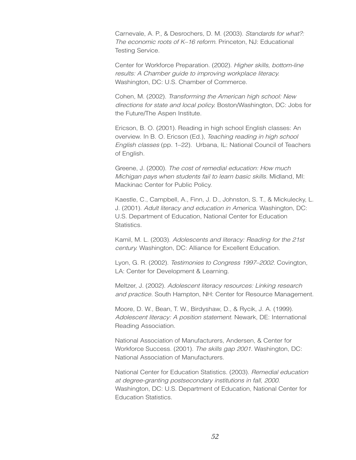Carnevale, A. P., & Desrochers, D. M. (2003). Standards for what?: The economic roots of K–16 reform. Princeton, NJ: Educational Testing Service.

Center for Workforce Preparation. (2002). Higher skills, bottom-line results: A Chamber guide to improving workplace literacy. Washington, DC: U.S. Chamber of Commerce.

Cohen, M. (2002). Transforming the American high school: New directions for state and local policy. Boston/Washington, DC: Jobs for the Future/The Aspen Institute.

Ericson, B. O. (2001). Reading in high school English classes: An overview. In B. O. Ericson (Ed.), Teaching reading in high school English classes (pp. 1–22). Urbana, IL: National Council of Teachers of English.

Greene, J. (2000). The cost of remedial education: How much Michigan pays when students fail to learn basic skills. Midland, MI: Mackinac Center for Public Policy.

Kaestle, C., Campbell, A., Finn, J. D., Johnston, S. T., & Mickulecky, L. J. (2001). Adult literacy and education in America. Washington, DC: U.S. Department of Education, National Center for Education Statistics.

Kamil, M. L. (2003). Adolescents and literacy: Reading for the 21st century. Washington, DC: Alliance for Excellent Education.

Lyon, G. R. (2002). Testimonies to Congress 1997–2002. Covington, LA: Center for Development & Learning.

Meltzer, J. (2002). Adolescent literacy resources: Linking research and practice. South Hampton, NH: Center for Resource Management.

Moore, D. W., Bean, T. W., Birdyshaw, D., & Rycik, J. A. (1999). Adolescent literacy: A position statement. Newark, DE: International Reading Association.

National Association of Manufacturers, Andersen, & Center for Workforce Success. (2001). The skills gap 2001. Washington, DC: National Association of Manufacturers.

National Center for Education Statistics. (2003). Remedial education at degree-granting postsecondary institutions in fall, 2000. Washington, DC: U.S. Department of Education, National Center for Education Statistics.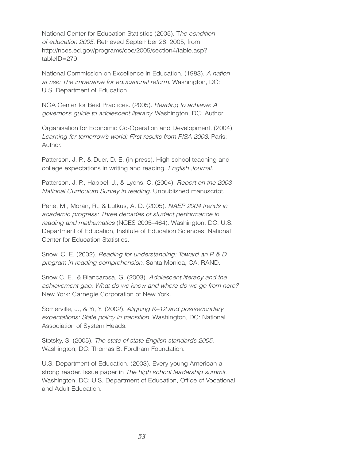National Center for Education Statistics (2005). The condition of education 2005. Retrieved September 28, 2005, from http://nces.ed.gov/programs/coe/2005/section4/table.asp? tableID=279

National Commission on Excellence in Education. (1983). A nation at risk: The imperative for educational reform. Washington, DC: U.S. Department of Education.

NGA Center for Best Practices. (2005). Reading to achieve: A governor's guide to adolescent literacy. Washington, DC: Author.

Organisation for Economic Co-Operation and Development. (2004). Learning for tomorrow's world: First results from PISA 2003. Paris: Author.

Patterson, J. P., & Duer, D. E. (in press). High school teaching and college expectations in writing and reading. English Journal.

Patterson, J. P., Happel, J., & Lyons, C. (2004). Report on the 2003 National Curriculum Survey in reading. Unpublished manuscript.

Perie, M., Moran, R., & Lutkus, A. D. (2005). NAEP 2004 trends in academic progress: Three decades of student performance in reading and mathematics (NCES 2005–464). Washington, DC: U.S. Department of Education, Institute of Education Sciences, National Center for Education Statistics.

Snow, C. E. (2002). Reading for understanding: Toward an R & D program in reading comprehension. Santa Monica, CA: RAND.

Snow C. E., & Biancarosa, G. (2003). Adolescent literacy and the achievement gap: What do we know and where do we go from here? New York: Carnegie Corporation of New York.

Somerville, J., & Yi, Y. (2002). Aligning K–12 and postsecondary expectations: State policy in transition. Washington, DC: National Association of System Heads.

Stotsky, S. (2005). The state of state English standards 2005. Washington, DC: Thomas B. Fordham Foundation.

U.S. Department of Education. (2003). Every young American a strong reader. Issue paper in The high school leadership summit. Washington, DC: U.S. Department of Education, Office of Vocational and Adult Education.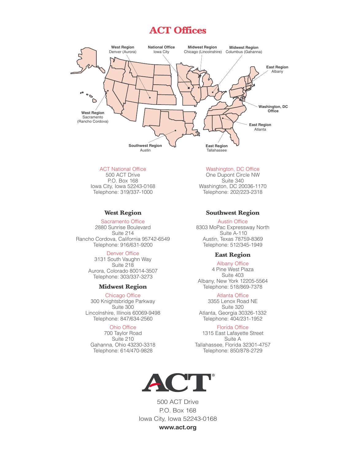## **ACT Offices**



### ACT National Office

500 ACT Drive P.O. Box 168 Iowa City, Iowa 52243-0168 Telephone: 319/337-1000

### **West Region**

Sacramento Office 2880 Sunrise Boulevard Suite 214 Rancho Cordova, California 95742-6549 Telephone: 916/631-9200

#### Denver Office

3131 South Vaughn Way Suite 218 Aurora, Colorado 80014-3507 Telephone: 303/337-3273

### **Midwest Region**

Chicago Office 300 Knightsbridge Parkway Suite 300 Lincolnshire, Illinois 60069-9498 Telephone: 847/634-2560

### Ohio Office

700 Taylor Road Suite 210 Gahanna, Ohio 43230-3318 Telephone: 614/470-9828

### Washington, DC Office

One Dupont Circle NW Suite 340 Washington, DC 20036-1170 Telephone: 202/223-2318

### **Southwest Region**

Austin Office 8303 MoPac Expressway North Suite A-110 Austin, Texas 78759-8369 Telephone: 512/345-1949

### **East Region**

Albany Office 4 Pine West Plaza Suite 403 Albany, New York 12205-5564 Telephone: 518/869-7378

Atlanta Office 3355 Lenox Road NE Suite 320 Atlanta, Georgia 30326-1332 Telephone: 404/231-1952

#### Florida Office

1315 East Lafayette Street Suite A Tallahassee, Florida 32301-4757 Telephone: 850/878-2729



500 ACT Drive P.O. Box 168 Iowa City, Iowa 52243-0168 **www.act.org**